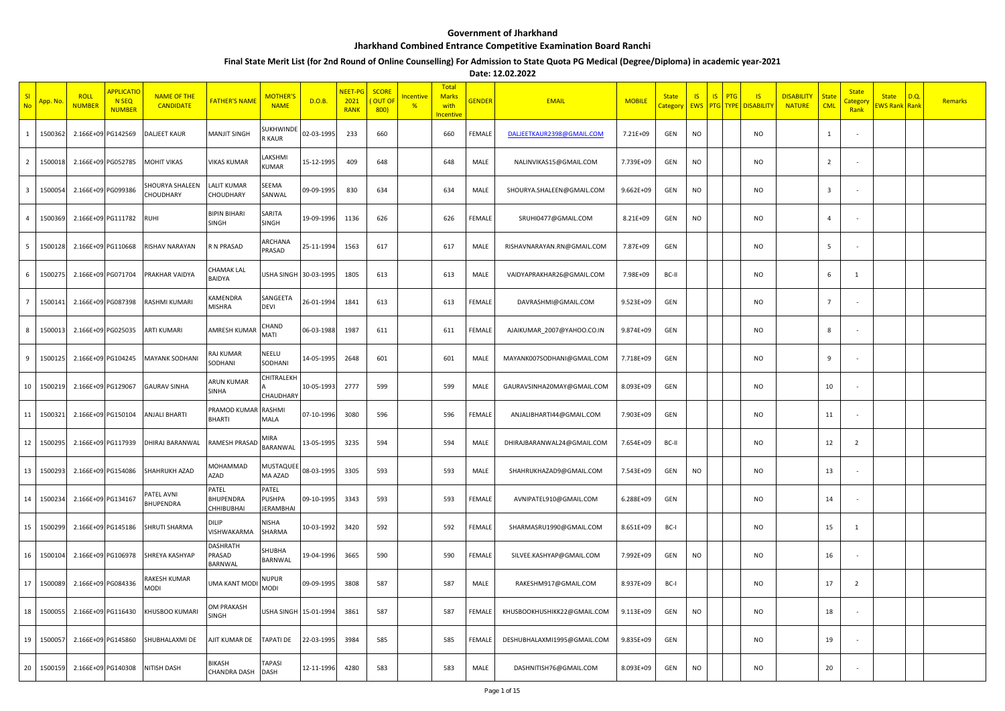## **Government of Jharkhand**

## **Jharkhand Combined Entrance Competitive Examination Board Ranchi**

## **Final State Merit List (for 2nd Round of Online Counselling) For Admission to State Quota PG Medical (Degree/Diploma) in academic year-2021**

**Date: 12.02.2022**

|                         | <mark>App. Nc</mark> | <b>ROLL</b><br><b>NUMBER</b> | <b>APPLICATIO</b><br>N <sub>SEQ</sub><br><b>NUMBER</b> | <b>NAME OF THE</b><br><b>CANDIDATE</b> | <b>FATHER'S NAME</b>                    | MOTHER'S<br><b>NAME</b>         | D.O.B.     | NEET-PG<br>2021<br><b>RANK</b> | <b>SCORE</b><br><b>OUT OF</b><br>800) | <u>Incentive</u><br>$\frac{9}{6}$ | <b>Total</b><br><b>Marks</b><br>with<br>ncentive | <b>GENDER</b> | <b>EMAIL</b>                | <b>MOBILE</b> | <b>State</b><br>ategory | IS<br><b>EWS</b> | IS<br>PTG<br>PTG<br><b>TYPE</b> | $\overline{15}$<br><b>DISABILITY</b> | <b>DISABILITY</b><br><b>NATURE</b> | State<br><b>CML</b>     | <b>State</b><br>Category<br>Rank | <b>State</b><br><b>WS Rank</b> | D.Q.<br>Rank | Remarks |
|-------------------------|----------------------|------------------------------|--------------------------------------------------------|----------------------------------------|-----------------------------------------|---------------------------------|------------|--------------------------------|---------------------------------------|-----------------------------------|--------------------------------------------------|---------------|-----------------------------|---------------|-------------------------|------------------|---------------------------------|--------------------------------------|------------------------------------|-------------------------|----------------------------------|--------------------------------|--------------|---------|
|                         | 1500362              |                              | 2.166E+09 PG142569                                     | DALJEET KAUR                           | <b>MANJIT SINGH</b>                     | <b>UKHWIND</b><br><b>R KAUR</b> | 02-03-1995 | 233                            | 660                                   |                                   | 660                                              | FEMALE        | DALJEETKAUR2398@GMAIL.COM   | 7.21E+09      | GEN                     | <b>NO</b>        |                                 | <b>NO</b>                            |                                    | $\mathbf{1}$            |                                  |                                |              |         |
| $\overline{2}$          | 1500018              |                              | 2.166E+09 PG052785                                     | MOHIT VIKAS                            | <b>VIKAS KUMAR</b>                      | LAKSHMI<br>KUMAR                | 15-12-1995 | 409                            | 648                                   |                                   | 648                                              | MALE          | NALINVIKAS15@GMAIL.COM      | 7.739E+09     | GEN                     | <b>NO</b>        |                                 | <b>NO</b>                            |                                    | $\overline{2}$          |                                  |                                |              |         |
| $\overline{\mathbf{3}}$ | 1500054              |                              | 2.166E+09 PG099386                                     | HOURYA SHALEEN<br>CHOUDHARY            | LALIT KUMAR<br>CHOUDHARY                | SEEMA<br>SANWAL                 | 09-09-1995 | 830                            | 634                                   |                                   | 634                                              | MALE          | SHOURYA.SHALEEN@GMAIL.COM   | $9.662E + 09$ | GEN                     | <b>NO</b>        |                                 | <b>NO</b>                            |                                    | $\overline{\mathbf{3}}$ |                                  |                                |              |         |
| 4                       | 1500369              |                              | 2.166E+09 PG111782                                     | <b>RUHI</b>                            | <b>BIPIN BIHARI</b><br>SINGH            | SARITA<br><b>SINGH</b>          | 19-09-1996 | 1136                           | 626                                   |                                   | 626                                              | FEMALE        | SRUHI0477@GMAIL.COM         | 8.21E+09      | GEN                     | <b>NO</b>        |                                 | <b>NO</b>                            |                                    | $\Delta$                |                                  |                                |              |         |
| 5                       | 1500128              |                              | 2.166E+09 PG110668                                     | RISHAV NARAYAN                         | R N PRASAD                              | ARCHANA<br>PRASAD               | 25-11-1994 | 1563                           | 617                                   |                                   | 617                                              | MALE          | RISHAVNARAYAN.RN@GMAIL.COM  | 7.87E+09      | GEN                     |                  |                                 | <b>NO</b>                            |                                    | 5                       |                                  |                                |              |         |
| -6                      | 1500275              |                              | 2.166E+09 PG071704                                     | PRAKHAR VAIDYA                         | CHAMAK LAL<br>BAIDYA                    | JSHA SINGH 30-03-1995           |            | 1805                           | 613                                   |                                   | 613                                              | MALE          | VAIDYAPRAKHAR26@GMAIL.COM   | 7.98E+09      | BC-II                   |                  |                                 | <b>NO</b>                            |                                    | 6                       | 1                                |                                |              |         |
| $\overline{7}$          | 1500141              |                              | 2.166E+09 PG087398                                     | RASHMI KUMARI                          | <b><i>CAMENDRA</i></b><br><b>MISHRA</b> | SANGEETA<br><b>DEVI</b>         | 26-01-1994 | 1841                           | 613                                   |                                   | 613                                              | FEMALE        | DAVRASHMI@GMAIL.COM         | 9.523E+09     | GEN                     |                  |                                 | <b>NO</b>                            |                                    | $\overline{7}$          |                                  |                                |              |         |
| 8                       | 1500013              |                              | 2.166E+09 PG025035                                     | ARTI KUMARI                            | AMRESH KUMAF                            | CHAND<br>MATI                   | 06-03-1988 | 1987                           | 611                                   |                                   | 611                                              | FEMALE        | AJAIKUMAR_2007@YAHOO.CO.IN  | 9.874E+09     | GEN                     |                  |                                 | <b>NO</b>                            |                                    | 8                       |                                  |                                |              |         |
| 9                       | 1500125              |                              | 2.166E+09 PG104245                                     | <b>MAYANK SODHANI</b>                  | RAJ KUMAR<br>SODHANI                    | NEELU<br>SODHANI                | 14-05-1995 | 2648                           | 601                                   |                                   | 601                                              | MALE          | MAYANK007SODHANI@GMAIL.COM  | 7.718E+09     | GEN                     |                  |                                 | <b>NO</b>                            |                                    | 9                       |                                  |                                |              |         |
| 10                      | 1500219              |                              | 2.166E+09 PG129067                                     | <b>GAURAV SINHA</b>                    | ARUN KUMAR<br>SINHA                     | CHITRALEKH<br><b>CHAUDHARY</b>  | 10-05-1993 | 2777                           | 599                                   |                                   | 599                                              | MALE          | GAURAVSINHA20MAY@GMAIL.COM  | 8.093E+09     | GEN                     |                  |                                 | <b>NO</b>                            |                                    | 10                      |                                  |                                |              |         |
| 11                      | 1500321              |                              | 2.166E+09 PG150104                                     | <b>ANJALI BHARTI</b>                   | PRAMOD KUMAI<br><b>BHARTI</b>           | <b>RASHMI</b><br>MALA           | 07-10-1996 | 3080                           | 596                                   |                                   | 596                                              | FEMALE        | ANJALIBHARTI44@GMAIL.COM    | 7.903E+09     | GEN                     |                  |                                 | NO                                   |                                    | 11                      |                                  |                                |              |         |
| 12                      | 1500295              |                              | 2.166E+09 PG117939                                     | DHIRAJ BARANWAL                        | RAMESH PRASAD                           | MIRA<br>BARANWAL                | 13-05-1995 | 3235                           | 594                                   |                                   | 594                                              | MALE          | DHIRAJBARANWAL24@GMAIL.COM  | 7.654E+09     | BC-II                   |                  |                                 | <b>NO</b>                            |                                    | 12                      | $\overline{2}$                   |                                |              |         |
| 13                      | 1500293              |                              | 2.166E+09 PG154086                                     | SHAHRUKH AZAD                          | MOHAMMAD<br>AZAD                        | MUSTAQUE<br>MA AZAD             | 08-03-1995 | 3305                           | 593                                   |                                   | 593                                              | MALE          | SHAHRUKHAZAD9@GMAIL.COM     | 7.543E+09     | GEN                     | <b>NO</b>        |                                 | <b>NO</b>                            |                                    | 13                      |                                  |                                |              |         |
| 14                      | 1500234              |                              | 2.166E+09 PG134167                                     | <b>ATEL AVNI</b><br><b>BHUPENDRA</b>   | PATEL<br>BHUPENDRA<br>CHHIBUBHAI        | PATEL<br>PUSHPA<br>JERAMBHA     | 09-10-1995 | 3343                           | 593                                   |                                   | 593                                              | FEMALE        | AVNIPATEL910@GMAIL.COM      | 6.288E+09     | GEN                     |                  |                                 | <b>NO</b>                            |                                    | 14                      |                                  |                                |              |         |
| 15                      | 1500299              |                              | 2.166E+09 PG145186                                     | SHRUTI SHARMA                          | DILIP<br>VISHWAKARMA                    | NISHA<br>SHARMA                 | 10-03-1992 | 3420                           | 592                                   |                                   | 592                                              | FEMALE        | SHARMASRU1990@GMAIL.COM     | 8.651E+09     | BC-I                    |                  |                                 | <b>NO</b>                            |                                    | 15                      | -1                               |                                |              |         |
| 16                      | 1500104              |                              | 2.166E+09 PG106978                                     | SHREYA KASHYAP                         | DASHRATH<br>PRASAD<br>BARNWAL           | SHUBHA<br>BARNWAL               | 19-04-1996 | 3665                           | 590                                   |                                   | 590                                              | FEMALE        | SILVEE.KASHYAP@GMAIL.COM    | 7.992E+09     | GEN                     | <b>NO</b>        |                                 | <b>NO</b>                            |                                    | 16                      |                                  |                                |              |         |
| 17                      | 1500089              |                              | 2.166E+09 PG084336                                     | RAKESH KUMAR<br><b>NODI</b>            | UMA KANT MOD                            | <b>NUPUR</b><br>MODI            | 09-09-1995 | 3808                           | 587                                   |                                   | 587                                              | MALE          | RAKESHM917@GMAIL.COM        | 8.937E+09     | BC-I                    |                  |                                 | <b>NO</b>                            |                                    | 17                      | $\overline{2}$                   |                                |              |         |
| 18                      | 1500055              |                              | 2.166E+09 PG116430                                     | KHUSBOO KUMARI                         | OM PRAKASH<br>SINGH                     | USHA SINGH                      | 15-01-1994 | 3861                           | 587                                   |                                   | 587                                              | FEMALE        | KHUSBOOKHUSHIKK22@GMAIL.COM | 9.113E+09     | GEN                     | <b>NO</b>        |                                 | <b>NO</b>                            |                                    | 18                      |                                  |                                |              |         |
| 19                      | 1500057              |                              | 2.166E+09 PG145860                                     | SHUBHALAXMI DE                         | AJIT KUMAR DE                           | <b>TAPATI DE</b>                | 22-03-1995 | 3984                           | 585                                   |                                   | 585                                              | FEMALE        | DESHUBHALAXMI1995@GMAIL.COM | 9.835E+09     | GEN                     |                  |                                 | <b>NO</b>                            |                                    | 19                      |                                  |                                |              |         |
| 20                      | 1500159              |                              | 2.166E+09 PG140308                                     | NITISH DASH                            | <b>BIKASH</b><br>CHANDRA DASH           | TAPASI<br><b>DASH</b>           | 12-11-1996 | 4280                           | 583                                   |                                   | 583                                              | MALE          | DASHNITISH76@GMAIL.COM      | 8.093E+09     | GEN                     | <b>NO</b>        |                                 | <b>NO</b>                            |                                    | 20                      |                                  |                                |              |         |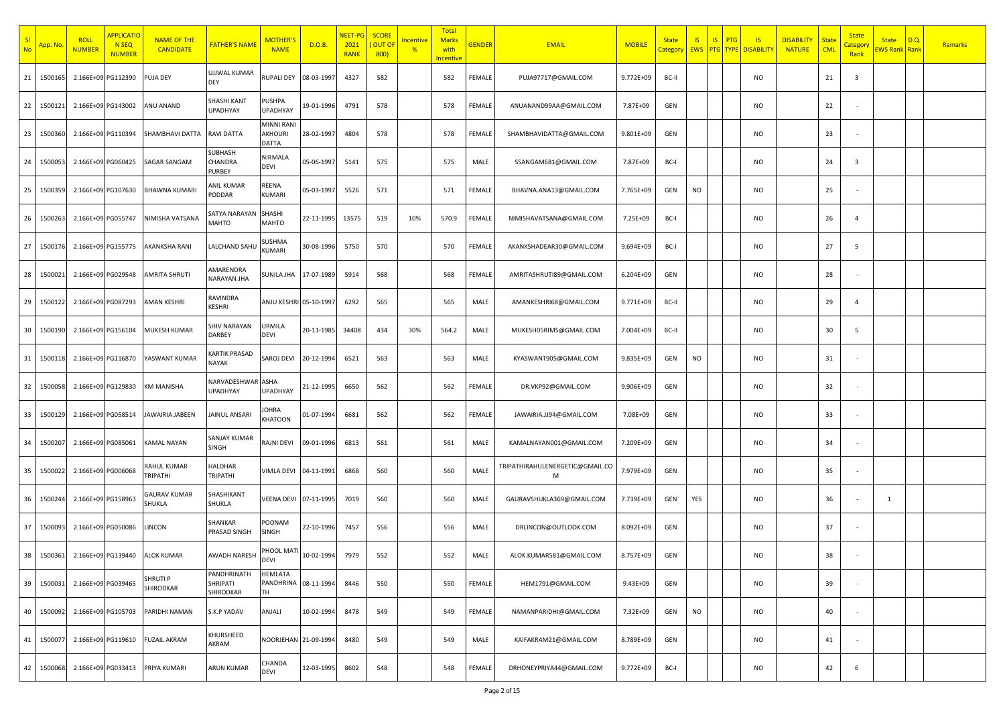| SI<br><b>No</b> | <mark>App. N</mark> o | <b>ROLL</b><br><b>NUMBER</b> | <b>APPLICATIO</b><br><b>N SEQ</b><br><b>NUMBER</b> | <b>NAME OF THE</b><br><b>CANDIDATE</b> | FATHER'S NAME                        | MOTHER'<br><b>NAME</b>                | D.O.B.     | NEET-I<br>2021<br><b>RANK</b> | <b>SCORE</b><br><b>OUT OF</b><br>800) | ncentive<br>$\frac{9}{6}$ | <b>Total</b><br><b>Marks</b><br>with<br><b>Incentive</b> | <b>GENDER</b> | <b>EMAIL</b>                         | <b>MOBILE</b> | <b>State</b><br>Category | IS        | $\overline{\mathsf{S}}$<br>PTG | $\overline{\mathsf{S}}$<br><b>EWS PTG TYPE DISABILITY</b> | <b>DISABILITY</b><br><b>NATURE</b> | <b>State</b><br><b>CML</b> | <b>State</b><br><mark>Catego</mark><br>Rank | <b>State</b><br><mark>EWS Rank Rank</mark> | D.Q | Remarks |
|-----------------|-----------------------|------------------------------|----------------------------------------------------|----------------------------------------|--------------------------------------|---------------------------------------|------------|-------------------------------|---------------------------------------|---------------------------|----------------------------------------------------------|---------------|--------------------------------------|---------------|--------------------------|-----------|--------------------------------|-----------------------------------------------------------|------------------------------------|----------------------------|---------------------------------------------|--------------------------------------------|-----|---------|
| 21              | 150016                | 2.166E+09 PG112390           |                                                    | PUJA DEY                               | UJJWAL KUMAR<br>DEY                  | <b>RUPALI DEY</b>                     | 08-03-1997 | 4327                          | 582                                   |                           | 582                                                      | FEMALE        | PUJA97717@GMAIL.COM                  | 9.772E+09     | BC-II                    |           |                                | NO                                                        |                                    | 21                         | $\overline{\mathbf{3}}$                     |                                            |     |         |
| 22              | 150012                | 2.166E+09 PG143002           |                                                    | ANU ANAND                              | SHASHI KANT<br><b>UPADHYAY</b>       | <b>PUSHPA</b><br><b>UPADHYAY</b>      | 19-01-1996 | 4791                          | 578                                   |                           | 578                                                      | FEMALE        | ANUANAND99AA@GMAIL.COM               | 7.87E+09      | GEN                      |           |                                | <b>NO</b>                                                 |                                    | 22                         |                                             |                                            |     |         |
| 23              | 150036                | 2.166E+09 PG110394           |                                                    | SHAMBHAVI DATTA                        | <b>RAVI DATTA</b>                    | MINNI RAN<br><b>AKHOURI</b><br>DATTA  | 28-02-1997 | 4804                          | 578                                   |                           | 578                                                      | FEMALE        | SHAMBHAVIDATTA@GMAIL.COM             | 9.801E+09     | GEN                      |           |                                | <b>NO</b>                                                 |                                    | 23                         |                                             |                                            |     |         |
| 24              | 150005                |                              | 2.166E+09 PG060425                                 | SAGAR SANGAM                           | SUBHASH<br>CHANDRA<br>PURBEY         | NIRMALA<br><b>DEVI</b>                | 05-06-1997 | 5141                          | 575                                   |                           | 575                                                      | MALE          | SSANGAM681@GMAIL.COM                 | 7.87E+09      | BC-I                     |           |                                | NO                                                        |                                    | 24                         | $\overline{\mathbf{3}}$                     |                                            |     |         |
| 25              | 150035                |                              | 2.166E+09 PG107630                                 | <b>BHAWNA KUMARI</b>                   | ANIL KUMAR<br>PODDAR                 | REENA<br><b>KUMARI</b>                | 05-03-1997 | 5526                          | 571                                   |                           | 571                                                      | FEMALE        | BHAVNA.ANA13@GMAIL.COM               | 7.765E+09     | GEN                      | <b>NO</b> |                                | NO                                                        |                                    | 25                         |                                             |                                            |     |         |
| 26              | 1500263               | 2.166E+09 PG055747           |                                                    | NIMISHA VATSANA                        | SATYA NARAYAN<br>MAHTO               | SHASHI<br>MAHTO                       | 22-11-1995 | 13575                         | 519                                   | 10%                       | 570.9                                                    | FEMALE        | NIMISHAVATSANA@GMAIL.COM             | 7.25E+09      | BC-I                     |           |                                | <b>NO</b>                                                 |                                    | 26                         | $\overline{4}$                              |                                            |     |         |
| 27              | 1500176               | 2.166E+09 PG155775           |                                                    | AKANKSHA RANI                          | LALCHAND SAHU                        | SUSHMA<br><b>KUMARI</b>               | 30-08-1996 | 5750                          | 570                                   |                           | 570                                                      | FEMALE        | AKANKSHADEAR30@GMAIL.COM             | 9.694E+09     | BC-I                     |           |                                | <b>NO</b>                                                 |                                    | 27                         | - 5                                         |                                            |     |         |
| 28              | 150002                |                              | 2.166E+09 PG029548                                 | AMRITA SHRUTI                          | AMARENDRA<br>NARAYAN JHA             | SUNILA JHA                            | 17-07-1989 | 5914                          | 568                                   |                           | 568                                                      | FEMALE        | AMRITASHRUTI89@GMAIL.COM             | 6.204E+09     | GEN                      |           |                                | <b>NO</b>                                                 |                                    | 28                         |                                             |                                            |     |         |
| 29              | 150012                | 2.166E+09 PG087293           |                                                    | AMAN KESHRI                            | RAVINDRA<br>KESHRI                   | ANJU KESHRI                           | 05-10-1997 | 6292                          | 565                                   |                           | 565                                                      | MALE          | AMANKESHRI68@GMAIL.COM               | 9.771E+09     | BC-II                    |           |                                | <b>NO</b>                                                 |                                    | 29                         | $\overline{4}$                              |                                            |     |         |
| 30              | 150019                | 2.166E+09 PG156104           |                                                    | MUKESH KUMAR                           | SHIV NARAYAN<br>DARBEY               | URMILA<br><b>DEVI</b>                 | 20-11-1985 | 34408                         | 434                                   | 30%                       | 564.2                                                    | MALE          | MUKESH05RIMS@GMAIL.COM               | 7.004E+09     | BC-II                    |           |                                | <b>NO</b>                                                 |                                    | 30                         | - 5                                         |                                            |     |         |
| 31              | 150011                | 2.166E+09 PG116870           |                                                    | YASWANT KUMAR                          | KARTIK PRASAD<br>NAYAK               | SAROJ DEVI                            | 20-12-1994 | 6521                          | 563                                   |                           | 563                                                      | MALE          | KYASWANT905@GMAIL.COM                | 9.835E+09     | GEN                      | <b>NO</b> |                                | NO                                                        |                                    | 31                         |                                             |                                            |     |         |
| 32              | 150005                | 2.166E+09 PG129830           |                                                    | <b>KM MANISHA</b>                      | NARVADESHWAR ASHA<br><b>UPADHYAY</b> | <b>UPADHYAY</b>                       | 21-12-1995 | 6650                          | 562                                   |                           | 562                                                      | FEMALE        | DR.VKP92@GMAIL.COM                   | 9.906E+09     | GEN                      |           |                                | <b>NO</b>                                                 |                                    | 32                         |                                             |                                            |     |         |
| 33              | 150012                | 2.166E+09 PG058514           |                                                    | JAWAIRIA JABEEN                        | JAINUL ANSARI                        | OHRA<br>KHATOON                       | 01-07-1994 | 6681                          | 562                                   |                           | 562                                                      | FEMALE        | JAWAIRIA.JJ94@GMAIL.COM              | 7.08E+09      | GEN                      |           |                                | NO                                                        |                                    | 33                         |                                             |                                            |     |         |
| 34              | 150020                | 2.166E+09 PG085061           |                                                    | <b>KAMAL NAYAN</b>                     | SANJAY KUMAR<br>SINGH                | <b>RAJNI DEVI</b>                     | 09-01-1996 | 6813                          | 561                                   |                           | 561                                                      | MALE          | KAMALNAYAN001@GMAIL.COM              | 7.209E+09     | GEN                      |           |                                | NO                                                        |                                    | 34                         |                                             |                                            |     |         |
| 35              | 150002                | 2.166E+09 PG006068           |                                                    | RAHUL KUMAR<br>TRIPATHI                | HALDHAR<br>TRIPATHI                  | <b>VIMLA DEVI</b>                     | 04-11-1991 | 6868                          | 560                                   |                           | 560                                                      | MALE          | TRIPATHIRAHULENERGETIC@GMAIL.CO<br>м | 7.979E+09     | GEN                      |           |                                | <b>NO</b>                                                 |                                    | 35                         |                                             |                                            |     |         |
| 36              | 1500244               | 2.166E+09 PG158963           |                                                    | GAURAV KUMAR<br>SHUKLA                 | SHASHIKANT<br>SHUKLA                 | VEENA DEVI                            | 07-11-1995 | 7019                          | 560                                   |                           | 560                                                      | MALE          | GAURAVSHUKLA369@GMAIL.COM            | 7.739E+09     | GEN                      | YES       |                                | <b>NO</b>                                                 |                                    | 36                         |                                             | 1                                          |     |         |
| 37              | 150009                | 2.166E+09 PG050086           |                                                    | LINCON                                 | SHANKAR<br>PRASAD SINGH              | POONAM<br>SINGH                       | 22-10-1996 | 7457                          | 556                                   |                           | 556                                                      | MALE          | DRLINCON@OUTLOOK.COM                 | 8.092E+09     | GEN                      |           |                                | NO                                                        |                                    | 37                         |                                             |                                            |     |         |
| 38              | 1500361               |                              | 2.166E+09 PG139440                                 | <b>ALOK KUMAR</b>                      | AWADH NARESH                         | PHOOL MAT                             | 10-02-1994 | 7979                          | 552                                   |                           | 552                                                      | MALE          | ALOK.KUMAR581@GMAIL.COM              | 8.757E+09     | GEN                      |           |                                | NO                                                        |                                    | 38                         |                                             |                                            |     |         |
| 39              | 1500031               | 2.166E+09 PG039465           |                                                    | SHRUTI P<br>SHIRODKAR                  | PANDHRINATH<br>SHRIPATI<br>SHIRODKAR | HEMLATA<br>PANDHRINA 08-11-1994<br>TH |            | 8446                          | 550                                   |                           | 550                                                      | FEMALE        | HEM1791@GMAIL.COM                    | 9.43E+09      | GEN                      |           |                                | <b>NO</b>                                                 |                                    | 39                         |                                             |                                            |     |         |
| 40              | 1500092               |                              | 2.166E+09 PG105703                                 | PARIDHI NAMAN                          | S.K.P YADAV                          | ANJALI                                | 10-02-1994 | 8478                          | 549                                   |                           | 549                                                      | FEMALE        | NAMANPARIDHI@GMAIL.COM               | 7.32E+09      | GEN                      | <b>NO</b> |                                | <b>NO</b>                                                 |                                    | 40                         |                                             |                                            |     |         |
| 41              | 150007                |                              | 2.166E+09 PG119610                                 | <b>FUZAIL AKRAM</b>                    | KHURSHEED<br>AKRAM                   | NOORJEHAN 21-09-1994                  |            | 8480                          | 549                                   |                           | 549                                                      | MALE          | KAIFAKRAM21@GMAIL.COM                | 8.789E+09     | GEN                      |           |                                | <b>NO</b>                                                 |                                    | 41                         |                                             |                                            |     |         |
| 42              | 1500068               |                              | 2.166E+09 PG033413                                 | PRIYA KUMARI                           | ARUN KUMAR                           | CHANDA<br>DEVI                        | 12-03-1995 | 8602                          | 548                                   |                           | 548                                                      | FEMALE        | DRHONEYPRIYA44@GMAIL.COM             | 9.772E+09     | BC-I                     |           |                                | <b>NO</b>                                                 |                                    | 42                         | 6                                           |                                            |     |         |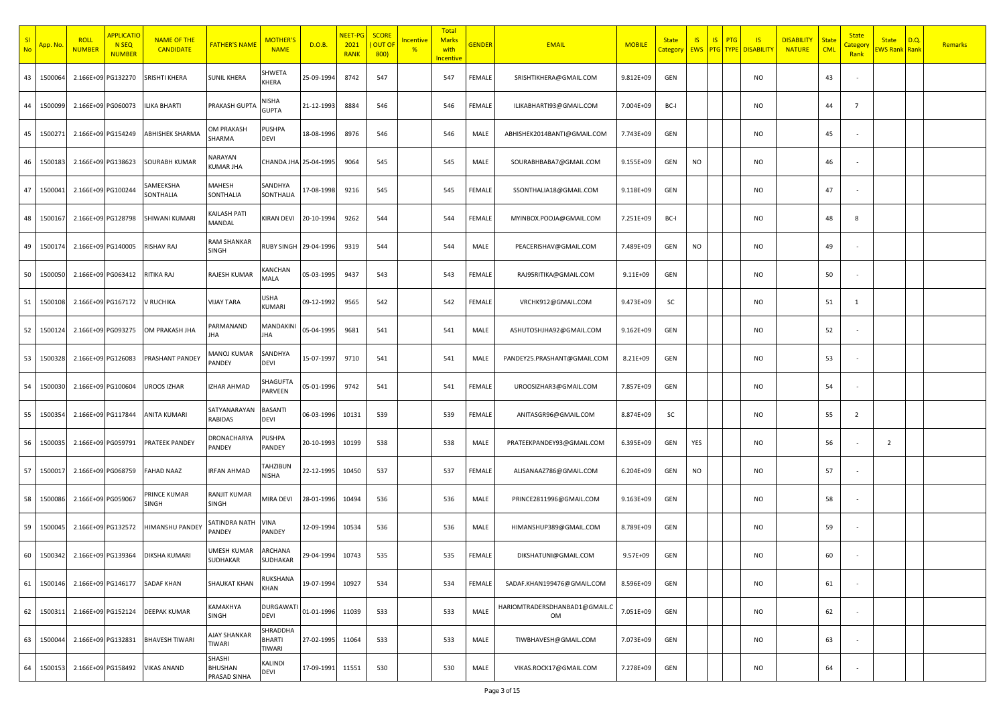| SI<br><b>No</b> | <mark>App. N</mark> o | <b>ROLL</b><br><b>NUMBER</b> | <b>APPLICATIO</b><br><b>N SEQ</b><br><b>NUMBER</b> | <b>NAME OF THE</b><br><b>CANDIDATE</b> | FATHER'S NAME                     | MOTHER'<br><b>NAME</b>              | D.O.B.     | NEET-I<br>2021<br><b>RANK</b> | <b>SCORE</b><br><b>OUT OF</b><br>800) | ncentive<br>$\frac{9}{6}$ | Total<br><b>Marks</b><br>with<br><b>Incentive</b> | <b>GENDER</b> | <b>EMAIL</b>                        | <b>MOBILE</b> | <b>State</b><br>Category | IS        | $\overline{\mathsf{S}}$<br>PTG | $\overline{\mathsf{S}}$<br><b>EWS PTG TYPE DISABILITY</b> | <b>DISABILITY</b><br><b>NATURE</b> | <b>State</b><br><b>CML</b> | <b>State</b><br><mark>Catego</mark><br>Rank | <b>State</b><br><mark>EWS Rank Rank</mark> | D.Q | Remarks |
|-----------------|-----------------------|------------------------------|----------------------------------------------------|----------------------------------------|-----------------------------------|-------------------------------------|------------|-------------------------------|---------------------------------------|---------------------------|---------------------------------------------------|---------------|-------------------------------------|---------------|--------------------------|-----------|--------------------------------|-----------------------------------------------------------|------------------------------------|----------------------------|---------------------------------------------|--------------------------------------------|-----|---------|
| 43              | 150006                |                              | 2.166E+09 PG132270                                 | SRISHTI KHERA                          | <b>SUNIL KHERA</b>                | SHWETA<br>KHERA                     | 25-09-1994 | 8742                          | 547                                   |                           | 547                                               | FEMALE        | SRISHTIKHERA@GMAIL.COM              | 9.812E+09     | GEN                      |           |                                | NO                                                        |                                    | 43                         |                                             |                                            |     |         |
| 44              | 150009                | 2.166E+09 PG060073           |                                                    | <b>ILIKA BHARTI</b>                    | PRAKASH GUPTA                     | NISHA<br><b>GUPTA</b>               | 21-12-1993 | 8884                          | 546                                   |                           | 546                                               | FEMALE        | ILIKABHARTI93@GMAIL.COM             | 7.004E+09     | BC-I                     |           |                                | <b>NO</b>                                                 |                                    | 44                         | $\overline{7}$                              |                                            |     |         |
| 45              | 150027                | 2.166E+09 PG154249           |                                                    | ABHISHEK SHARMA                        | OM PRAKASH<br>SHARMA              | <b>PUSHPA</b><br><b>DEVI</b>        | 18-08-1996 | 8976                          | 546                                   |                           | 546                                               | MALE          | ABHISHEK2014BANTI@GMAIL.COM         | 7.743E+09     | GEN                      |           |                                | <b>NO</b>                                                 |                                    | 45                         |                                             |                                            |     |         |
| 46              | 150018                | 2.166E+09 PG138623           |                                                    | SOURABH KUMAR                          | NARAYAN<br>KUMAR JHA              | CHANDA JHA 25-04-1995               |            | 9064                          | 545                                   |                           | 545                                               | MALE          | SOURABHBABA7@GMAIL.COM              | 9.155E+09     | GEN                      | NO        |                                | NO                                                        |                                    | 46                         |                                             |                                            |     |         |
| 47              | 1500041               | 2.166E+09 PG100244           |                                                    | SAMEEKSHA<br>SONTHALIA                 | MAHESH<br>SONTHALIA               | SANDHYA<br>SONTHALIA                | L7-08-1998 | 9216                          | 545                                   |                           | 545                                               | FEMALE        | SSONTHALIA18@GMAIL.COM              | 9.118E+09     | GEN                      |           |                                | NO                                                        |                                    | 47                         |                                             |                                            |     |         |
| 48              | 1500167               | 2.166E+09 PG128798           |                                                    | SHIWANI KUMARI                         | KAILASH PATI<br>MANDAL            | <b>KIRAN DEVI</b>                   | 20-10-1994 | 9262                          | 544                                   |                           | 544                                               | FEMALE        | MYINBOX.POOJA@GMAIL.COM             | 7.251E+09     | BC-I                     |           |                                | <b>NO</b>                                                 |                                    | 48                         | 8                                           |                                            |     |         |
| 49              | 1500174               |                              | 2.166E+09 PG140005                                 | <b>RISHAV RAJ</b>                      | RAM SHANKAR<br><b>SINGH</b>       | <b>RUBY SINGH</b>                   | 29-04-1996 | 9319                          | 544                                   |                           | 544                                               | MALE          | PEACERISHAV@GMAIL.COM               | 7.489E+09     | GEN                      | <b>NO</b> |                                | <b>NO</b>                                                 |                                    | 49                         |                                             |                                            |     |         |
| 50              | 150005                |                              | 2.166E+09 PG063412                                 | RITIKA RAJ                             | RAJESH KUMAR                      | KANCHAN<br>MALA                     | 05-03-1995 | 9437                          | 543                                   |                           | 543                                               | FEMALE        | RAJ95RITIKA@GMAIL.COM               | $9.11E + 09$  | GEN                      |           |                                | <b>NO</b>                                                 |                                    | 50                         |                                             |                                            |     |         |
| 51              | 1500108               |                              | 2.166E+09 PG167172                                 | V RUCHIKA                              | <b>VIJAY TARA</b>                 | USHA<br>KUMARI                      | 09-12-1992 | 9565                          | 542                                   |                           | 542                                               | FEMALE        | VRCHK912@GMAIL.COM                  | 9.473E+09     | SC                       |           |                                | <b>NO</b>                                                 |                                    | 51                         | 1                                           |                                            |     |         |
| 52              | 150012                |                              | 2.166E+09 PG093275                                 | OM PRAKASH JHA                         | PARMANAND<br>IНA                  | MANDAKIN<br>JHA                     | 05-04-1995 | 9681                          | 541                                   |                           | 541                                               | MALE          | ASHUTOSHJHA92@GMAIL.COM             | 9.162E+09     | GEN                      |           |                                | <b>NO</b>                                                 |                                    | 52                         |                                             |                                            |     |         |
| 53              | 150032                | 2.166E+09 PG126083           |                                                    | PRASHANT PANDEY                        | MANOJ KUMAR<br>PANDEY             | SANDHYA<br><b>DEVI</b>              | 15-07-1997 | 9710                          | 541                                   |                           | 541                                               | MALE          | PANDEY25.PRASHANT@GMAIL.COM         | 8.21E+09      | GEN                      |           |                                | NO                                                        |                                    | 53                         |                                             |                                            |     |         |
| 54              | 150003                | 2.166E+09 PG100604           |                                                    | UROOS IZHAR                            | <b>IZHAR AHMAD</b>                | SHAGUFTA<br>PARVEEN                 | 05-01-1996 | 9742                          | 541                                   |                           | 541                                               | FEMALE        | UROOSIZHAR3@GMAIL.COM               | 7.857E+09     | GEN                      |           |                                | <b>NO</b>                                                 |                                    | 54                         |                                             |                                            |     |         |
| 55              | 150035                | 2.166E+09 PG117844           |                                                    | ANITA KUMARI                           | SATYANARAYAN<br>RABIDAS           | <b>BASANTI</b><br>DEVI              | 06-03-1996 | 10131                         | 539                                   |                           | 539                                               | FEMALE        | ANITASGR96@GMAIL.COM                | 8.874E+09     | SC                       |           |                                | NO                                                        |                                    | 55                         | $\overline{2}$                              |                                            |     |         |
| 56              | 150003                | 2.166E+09 PG059791           |                                                    | PRATEEK PANDEY                         | DRONACHARYA<br>PANDEY             | <b>PUSHPA</b><br>PANDEY             | 20-10-1993 | 10199                         | 538                                   |                           | 538                                               | MALE          | PRATEEKPANDEY93@GMAIL.COM           | 6.395E+09     | GEN                      | YES       |                                | NO                                                        |                                    | 56                         |                                             | $\overline{2}$                             |     |         |
| 57              | 150001                | 2.166E+09 PG068759           |                                                    | FAHAD NAAZ                             | <b>RFAN AHMAD</b>                 | TAHZIBUN<br>NISHA                   | 22-12-1995 | 10450                         | 537                                   |                           | 537                                               | FEMALE        | ALISANAAZ786@GMAIL.COM              | 6.204E+09     | GEN                      | <b>NO</b> |                                | <b>NO</b>                                                 |                                    | 57                         |                                             |                                            |     |         |
| 58              | 1500086               | 2.166E+09 PG059067           |                                                    | PRINCE KUMAR<br>SINGH                  | <b>RANJIT KUMAR</b><br>SINGH      | MIRA DEVI                           | 28-01-1996 | 10494                         | 536                                   |                           | 536                                               | MALE          | PRINCE2811996@GMAIL.COM             | 9.163E+09     | GEN                      |           |                                | <b>NO</b>                                                 |                                    | 58                         |                                             |                                            |     |         |
| 59              | 1500045               | 2.166E+09 PG132572           |                                                    | <b>HIMANSHU PANDEY</b>                 | SATINDRA NATH<br>PANDEY           | <b>VINA</b><br>PANDEY               | 12-09-1994 | 10534                         | 536                                   |                           | 536                                               | MALE          | HIMANSHUP389@GMAIL.COM              | 8.789E+09     | GEN                      |           |                                | NO                                                        |                                    | 59                         |                                             |                                            |     |         |
| 60 l            | 1500342               | 2.166E+09 PG139364           |                                                    | <b>DIKSHA KUMARI</b>                   | UMESH KUMAR<br><b>SUDHAKAR</b>    | ARCHANA<br>SUDHAKAR                 | 29-04-1994 | 10743                         | 535                                   |                           | 535                                               | FEMALE        | DIKSHATUNI@GMAIL.COM                | $9.57E + 09$  | GEN                      |           |                                | <b>NO</b>                                                 |                                    | 60                         |                                             |                                            |     |         |
| 61              | 1500146               | 2.166E+09 PG146177           |                                                    | <b>SADAF KHAN</b>                      | <b>SHAUKAT KHAN</b>               | RUKSHANA<br>KHAN                    | 19-07-1994 | 10927                         | 534                                   |                           | 534                                               | FEMALE        | SADAF.KHAN199476@GMAIL.COM          | 8.596E+09     | GEN                      |           |                                | <b>NO</b>                                                 |                                    | 61                         |                                             |                                            |     |         |
| 62              | 1500311               |                              | 2.166E+09 PG152124                                 | <b>DEEPAK KUMAR</b>                    | KAMAKHYA<br>SINGH                 | <b>DURGAWAT</b><br><b>DEVI</b>      | 01-01-1996 | 11039                         | 533                                   |                           | 533                                               | MALE          | HARIOMTRADERSDHANBAD1@GMAIL.C<br>OM | 7.051E+09     | GEN                      |           |                                | <b>NO</b>                                                 |                                    | 62                         |                                             |                                            |     |         |
| 63              | 1500044               |                              | 2.166E+09 PG132831                                 | <b>BHAVESH TIWARI</b>                  | AJAY SHANKAR<br>TIWARI            | SHRADDHA<br><b>BHARTI</b><br>TIWARI | 27-02-1995 | 11064                         | 533                                   |                           | 533                                               | MALE          | TIWBHAVESH@GMAIL.COM                | 7.073E+09     | GEN                      |           |                                | <b>NO</b>                                                 |                                    | 63                         |                                             |                                            |     |         |
| 64              | 1500153               |                              | 2.166E+09 PG158492                                 | <b>VIKAS ANAND</b>                     | SHASHI<br>BHUSHAN<br>PRASAD SINHA | KALINDI<br><b>DEVI</b>              | 17-09-1991 | 11551                         | 530                                   |                           | 530                                               | MALE          | VIKAS.ROCK17@GMAIL.COM              | 7.278E+09     | GEN                      |           |                                | <b>NO</b>                                                 |                                    | 64                         |                                             |                                            |     |         |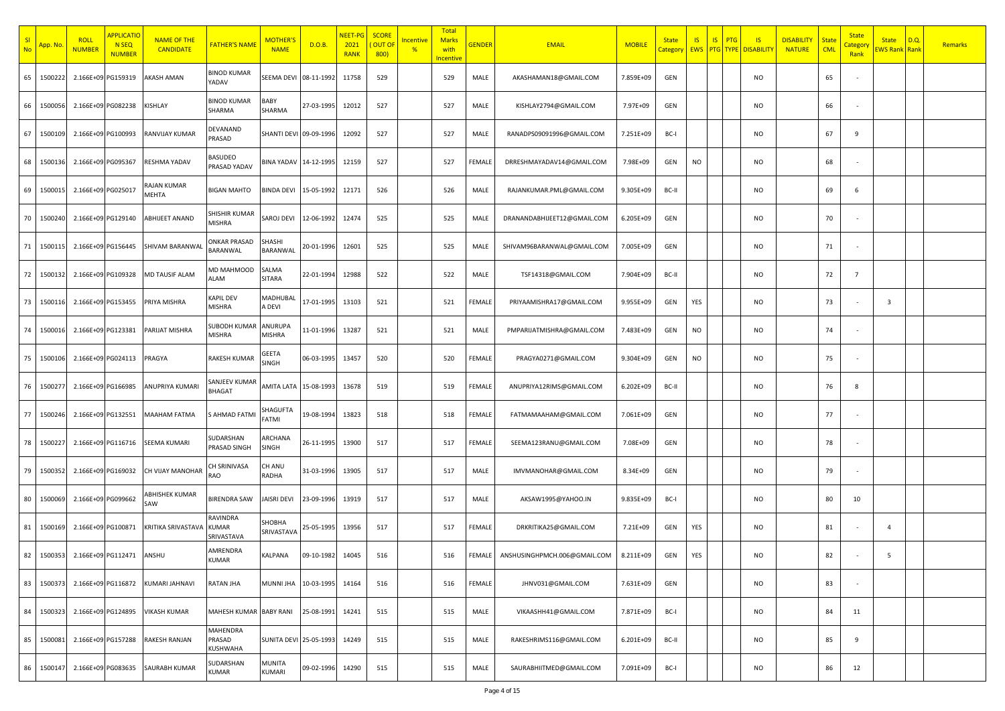| SI<br><b>No</b> | <mark>App. Nc</mark> | <b>ROLL</b><br><b>NUMBER</b> | <b>APPLICATIO</b><br><b>N SEQ</b><br><b>NUMBER</b> | <b>NAME OF THE</b><br><b>CANDIDATE</b> | <b>FATHER'S NAME</b>                   | <b>MOTHER'</b><br><b>NAME</b> | D.O.B.     | <b>NEET-PG</b><br>2021<br><b>RANK</b> | <b>SCORE</b><br>OUT OI<br>800) | ncentive<br>$\frac{9}{6}$ | <b>Total</b><br><b>Marks</b><br>with<br><b>Incentive</b> | <mark>GENDER</mark> | <b>EMAIL</b>                 | <b>MOBILE</b> | <b>State</b><br>Category | <b>IS</b><br><b>EWS</b> | IS<br>PTG<br><b>PTG</b> TYPE | IS<br><b>DISABILITY</b> | <b>DISABILITY</b><br><b>NATURE</b> | <b>State</b><br><b>CML</b> | <b>State</b><br><b>Category</b><br>Rank | <b>State</b><br><b>EWS Rank Rank</b> | D.Q. | <b>Remarks</b> |
|-----------------|----------------------|------------------------------|----------------------------------------------------|----------------------------------------|----------------------------------------|-------------------------------|------------|---------------------------------------|--------------------------------|---------------------------|----------------------------------------------------------|---------------------|------------------------------|---------------|--------------------------|-------------------------|------------------------------|-------------------------|------------------------------------|----------------------------|-----------------------------------------|--------------------------------------|------|----------------|
| 65              | 1500222              | 2.166E+09 PG159319           |                                                    | <b>KASH AMAN</b>                       | <b>BINOD KUMAR</b><br>YADAV            | SEEMA DEV                     | 08-11-1992 | 11758                                 | 529                            |                           | 529                                                      | MALE                | AKASHAMAN18@GMAIL.COM        | 7.859E+09     | GEN                      |                         |                              | <b>NO</b>               |                                    | 65                         |                                         |                                      |      |                |
| 66              | 1500056              | 2.166E+09 PG082238           |                                                    | KISHLAY                                | <b>BINOD KUMAR</b><br>SHARMA           | BABY<br>SHARMA                | 27-03-1995 | 12012                                 | 527                            |                           | 527                                                      | MALE                | KISHLAY2794@GMAIL.COM        | 7.97E+09      | GEN                      |                         |                              | <b>NO</b>               |                                    | 66                         |                                         |                                      |      |                |
| 67              | 1500109              | 2.166E+09 PG100993           |                                                    | RANVIJAY KUMAR                         | DEVANAND<br>PRASAD                     | SHANTI DEVI 09-09-1996        |            | 12092                                 | 527                            |                           | 527                                                      | MALE                | RANADPS09091996@GMAIL.COM    | 7.251E+09     | BC-I                     |                         |                              | <b>NO</b>               |                                    | 67                         | 9                                       |                                      |      |                |
| 68              | 1500136              | 2.166E+09 PG095367           |                                                    | RESHMA YADAV                           | BASUDEO<br>PRASAD YADAV                | BINA YADAV 14-12-1995         |            | 12159                                 | 527                            |                           | 527                                                      | FEMALE              | DRRESHMAYADAV14@GMAIL.COM    | 7.98E+09      | GEN                      | <b>NO</b>               |                              | NO                      |                                    | 68                         |                                         |                                      |      |                |
| 69              | 1500015              | 2.166E+09 PG025017           |                                                    | RAJAN KUMAR<br>MEHTA                   | <b>BIGAN MAHTO</b>                     | <b>BINDA DEVI</b>             | 15-05-1992 | 12171                                 | 526                            |                           | 526                                                      | MALE                | RAJANKUMAR.PML@GMAIL.COM     | 9.305E+09     | BC-II                    |                         |                              | <b>NO</b>               |                                    | 69                         | 6                                       |                                      |      |                |
| 70              | 1500240              | 2.166E+09 PG129140           |                                                    | <b>ABHIJEET ANAND</b>                  | SHISHIR KUMAR<br><b>MISHRA</b>         | SAROJ DEVI                    | 12-06-1992 | 12474                                 | 525                            |                           | 525                                                      | MALE                | DRANANDABHIJEET12@GMAIL.COM  | 6.205E+09     | GEN                      |                         |                              | <b>NO</b>               |                                    | 70                         |                                         |                                      |      |                |
| 71              | 1500115              | 2.166E+09 PG156445           |                                                    | SHIVAM BARANWAI                        | <b>ONKAR PRASAD</b><br>BARANWAL        | SHASHI<br>BARANWAL            | 20-01-1996 | 12601                                 | 525                            |                           | 525                                                      | MALE                | SHIVAM96BARANWAL@GMAIL.COM   | 7.005E+09     | GEN                      |                         |                              | NO                      |                                    | 71                         |                                         |                                      |      |                |
| 72              | 1500132              | 2.166E+09 PG109328           |                                                    | MD TAUSIF ALAM                         | MD MAHMOOD<br><b>ALAM</b>              | SALMA<br><b>SITARA</b>        | 22-01-1994 | 12988                                 | 522                            |                           | 522                                                      | MALE                | TSF14318@GMAIL.COM           | 7.904E+09     | BC-II                    |                         |                              | <b>NO</b>               |                                    | 72                         | $\overline{7}$                          |                                      |      |                |
| 73              | 1500116              | 2.166E+09 PG153455           |                                                    | PRIYA MISHRA                           | <b>KAPIL DEV</b><br><b>MISHRA</b>      | MADHUBAI<br>A DEVI            | 17-01-1995 | 13103                                 | 521                            |                           | 521                                                      | FEMALE              | PRIYAAMISHRA17@GMAIL.COM     | 9.955E+09     | GEN                      | YES                     |                              | <b>NO</b>               |                                    | 73                         |                                         | $\overline{\mathbf{3}}$              |      |                |
| 74              | 1500016              | 2.166E+09 PG123381           |                                                    | PARIJAT MISHRA                         | <b>SUBODH KUMAR</b><br><b>MISHRA</b>   | ANURUPA<br>MISHRA             | 11-01-1996 | 13287                                 | 521                            |                           | 521                                                      | MALE                | PMPARIJATMISHRA@GMAIL.COM    | 7.483E+09     | GEN                      | <b>NO</b>               |                              | NO                      |                                    | 74                         |                                         |                                      |      |                |
| 75              | 1500106              | 2.166E+09 PG024113           |                                                    | PRAGYA                                 | <b>RAKESH KUMAR</b>                    | GEETA<br>SINGH                | 06-03-1995 | 13457                                 | 520                            |                           | 520                                                      | FEMALE              | PRAGYA0271@GMAIL.COM         | 9.304E+09     | GEN                      | <b>NO</b>               |                              | NO                      |                                    | 75                         |                                         |                                      |      |                |
| 76              | 150027               | 2.166E+09 PG166985           |                                                    | ANUPRIYA KUMARI                        | SANJEEV KUMAR<br><b>BHAGAT</b>         | <b>AMITA LATA</b>             | 15-08-1993 | 13678                                 | 519                            |                           | 519                                                      | FEMALE              | ANUPRIYA12RIMS@GMAIL.COM     | 6.202E+09     | BC-II                    |                         |                              | NO                      |                                    | 76                         | 8                                       |                                      |      |                |
| 77              | 1500246              | 2.166E+09 PG132551           |                                                    | MAAHAM FATMA                           | S AHMAD FATMI                          | SHAGUFTA<br>FATMI             | 19-08-1994 | 13823                                 | 518                            |                           | 518                                                      | FEMALE              | FATMAMAAHAM@GMAIL.COM        | 7.061E+09     | GEN                      |                         |                              | NO                      |                                    | 77                         |                                         |                                      |      |                |
| 78              | 150022               | 2.166E+09 PG116716           |                                                    | SEEMA KUMARI                           | SUDARSHAN<br>PRASAD SINGH              | ARCHANA<br>SINGH              | 26-11-1995 | 13900                                 | 517                            |                           | 517                                                      | FEMALE              | SEEMA123RANU@GMAIL.COM       | 7.08E+09      | GEN                      |                         |                              | NO                      |                                    | 78                         |                                         |                                      |      |                |
| 79              | 1500352              | 2.166E+09 PG169032           |                                                    | CH VIJAY MANOHAR                       | CH SRINIVASA<br><b>RAO</b>             | CH ANU<br>RADHA               | 31-03-1996 | 13905                                 | 517                            |                           | 517                                                      | MALE                | IMVMANOHAR@GMAIL.COM         | 8.34E+09      | GEN                      |                         |                              | <b>NO</b>               |                                    | 79                         |                                         |                                      |      |                |
| 80              | 1500069              | 2.166E+09 PG099662           |                                                    | ABHISHEK KUMAR<br>SAW                  | <b>BIRENDRA SAW</b>                    | JAISRI DEVI                   | 23-09-1996 | 13919                                 | 517                            |                           | 517                                                      | MALE                | AKSAW1995@YAHOO.IN           | 9.835E+09     | BC-I                     |                         |                              | NO                      |                                    | 80                         | 10                                      |                                      |      |                |
| 81              | 1500169              | 2.166E+09 PG100871           |                                                    | <b>KRITIKA SRIVASTAVA</b>              | RAVINDRA<br><b>KUMAR</b><br>SRIVASTAVA | SHOBHA<br><b>SRIVASTAVA</b>   | 25-05-1995 | 13956                                 | 517                            |                           | 517                                                      | FEMALE              | DRKRITIKA25@GMAIL.COM        | 7.21E+09      | GEN                      | YES                     |                              | NO                      |                                    | 81                         |                                         | $\overline{4}$                       |      |                |
|                 | 82 1500353           | 2.166E+09 PG112471           |                                                    | ANSHU                                  | AMRENDRA<br><b>KUMAR</b>               | KALPANA                       | 09-10-1982 | 14045                                 | 516                            |                           | 516                                                      | FEMALE              | ANSHUSINGHPMCH.006@GMAIL.COM | 8.211E+09     | GEN                      | YES                     |                              | <b>NO</b>               |                                    | 82                         |                                         | 5                                    |      |                |
| 83              | 1500373              |                              | 2.166E+09 PG116872                                 | KUMARI JAHNAVI                         | <b>RATAN JHA</b>                       | <b>MUNNI JHA</b>              | 10-03-1995 | 14164                                 | 516                            |                           | 516                                                      | FEMALE              | JHNV031@GMAIL.COM            | 7.631E+09     | GEN                      |                         |                              | <b>NO</b>               |                                    | 83                         |                                         |                                      |      |                |
| 84              | 1500323              | 2.166E+09 PG124895           |                                                    | <b>VIKASH KUMAR</b>                    | MAHESH KUMAR BABY RANI                 |                               | 25-08-1991 | 14241                                 | 515                            |                           | 515                                                      | MALE                | VIKAASHH41@GMAIL.COM         | 7.871E+09     | BC-I                     |                         |                              | <b>NO</b>               |                                    | 84                         | 11                                      |                                      |      |                |
| 85              | 1500081              | 2.166E+09 PG157288           |                                                    | RAKESH RANJAN                          | <b>MAHENDRA</b><br>PRASAD<br>KUSHWAHA  | <b>SUNITA DEVI 25-05-1993</b> |            | 14249                                 | 515                            |                           | 515                                                      | MALE                | RAKESHRIMS116@GMAIL.COM      | $6.201E + 09$ | BC-II                    |                         |                              | <b>NO</b>               |                                    | 85                         | 9                                       |                                      |      |                |
|                 | 86 1500147           | 2.166E+09 PG083635           |                                                    | SAURABH KUMAR                          | SUDARSHAN<br><b>KUMAR</b>              | <b>MUNITA</b><br>KUMARI       | 09-02-1996 | 14290                                 | 515                            |                           | 515                                                      | MALE                | SAURABHIITMED@GMAIL.COM      | 7.091E+09     | BC-I                     |                         |                              | <b>NO</b>               |                                    | 86                         | 12                                      |                                      |      |                |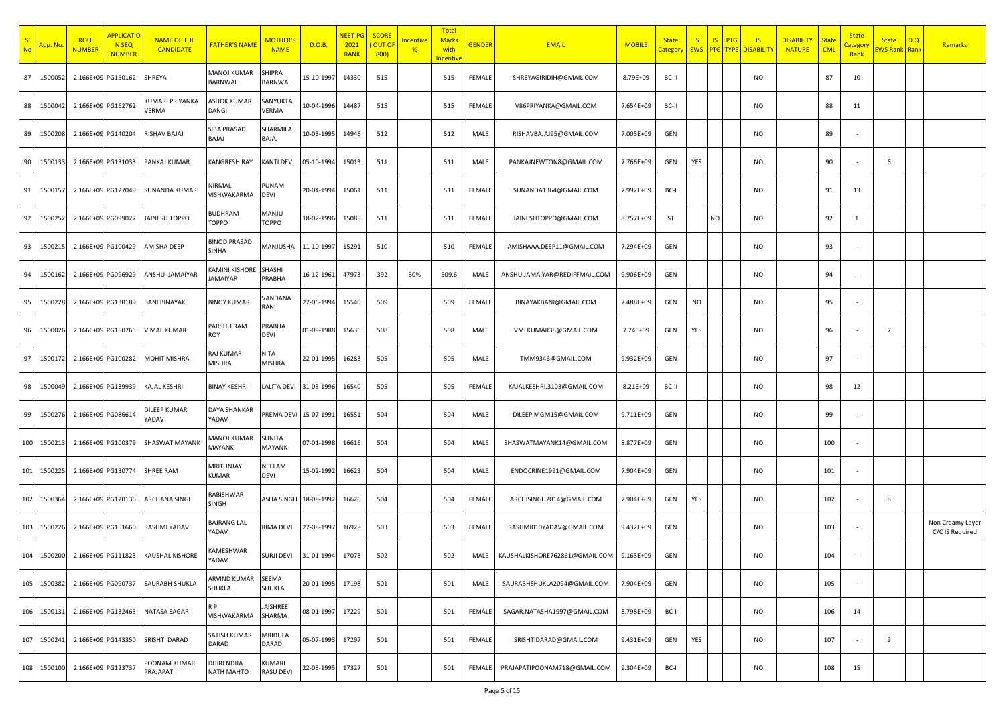| SI<br><b>No</b> | <mark>App. N</mark> o | <b>ROLL</b><br><b>NUMBER</b> | <b>APPLICATIO</b><br><b>N SEQ</b><br><b>NUMBER</b> | <b>NAME OF THE</b><br><b>CANDIDATE</b> | <b>FATHER'S NAME</b>              | <b>MOTHER</b><br><b>NAME</b> | D.O.B.           | NEET-I<br>2021<br><b>RANK</b> | <b>SCORE</b><br><b>OUT OF</b><br>800) | <u>Incentive</u><br>$\frac{9}{6}$ | <b>Total</b><br><b>Marks</b><br>with<br>ncentive | <b>GENDER</b> | <b>EMAIL</b>                   | <b>MOBILE</b> | <b>State</b><br>Category | <b>IS</b><br><b>EWS</b> | IS<br>PTG | IS<br><b>PTG TYPE DISABILITY</b> | <b>DISABILITY</b><br><b>NATURE</b> | <b>State</b><br><b>CML</b> | <b>State</b><br><mark>Categor</mark><br>Rank | <b>State</b><br>EWS Rank Rank | D.Q. | <b>Remarks</b>                      |
|-----------------|-----------------------|------------------------------|----------------------------------------------------|----------------------------------------|-----------------------------------|------------------------------|------------------|-------------------------------|---------------------------------------|-----------------------------------|--------------------------------------------------|---------------|--------------------------------|---------------|--------------------------|-------------------------|-----------|----------------------------------|------------------------------------|----------------------------|----------------------------------------------|-------------------------------|------|-------------------------------------|
| 87              | 150005                |                              | 2.166E+09 PG150162                                 | SHREYA                                 | MANOJ KUMAR<br>BARNWAL            | SHIPRA<br>BARNWAL            | 15-10-1997       | 14330                         | 515                                   |                                   | 515                                              | FEMALE        | SHREYAGIRIDIH@GMAIL.COM        | 8.79E+09      | BC-II                    |                         |           | <b>NO</b>                        |                                    | 87                         | 10                                           |                               |      |                                     |
| 88              | 150004                | 2.166E+09 PG162762           |                                                    | <b>KUMARI PRIYANKA</b><br>VERMA        | ASHOK KUMAR<br>DANGI              | SANYUKTA<br>VERMA            | 10-04-1996       | 14487                         | 515                                   |                                   | 515                                              | FEMALE        | V86PRIYANKA@GMAIL.COM          | 7.654E+09     | BC-II                    |                         |           | <b>NO</b>                        |                                    | 88                         | 11                                           |                               |      |                                     |
| 89              | 150020                | 2.166E+09 PG140204           |                                                    | RISHAV BAJAJ                           | SIBA PRASAD<br>LALAB              | SHARMILA<br>BAJAJ            | 10-03-1995 14946 |                               | 512                                   |                                   | 512                                              | MALE          | RISHAVBAJAJ95@GMAIL.COM        | 7.005E+09     | GEN                      |                         |           | <b>NO</b>                        |                                    | 89                         |                                              |                               |      |                                     |
| 90              | 150013                |                              | 2.166E+09 PG131033                                 | PANKAJ KUMAR                           | KANGRESH RAY                      | <b>KANTI DEVI</b>            | 05-10-1994       | 15013                         | 511                                   |                                   | 511                                              | MALE          | PANKAJNEWTON8@GMAIL.COM        | 7.766E+09     | GEN                      | YES                     |           | NO                               |                                    | 90                         |                                              | 6                             |      |                                     |
| 91              | 150015                |                              | 2.166E+09 PG127049                                 | SUNANDA KUMARI                         | VIRMAL<br>VISHWAKARMA             | PUNAM<br><b>DEVI</b>         | 20-04-1994       | 15061                         | 511                                   |                                   | 511                                              | FEMALE        | SUNANDA1364@GMAIL.COM          | 7.992E+09     | BC-I                     |                         |           | NO                               |                                    | 91                         | 13                                           |                               |      |                                     |
| 92              | 1500252               |                              | 2.166E+09 PG099027                                 | JAINESH TOPPO                          | BUDHRAM<br>TOPPO                  | MANJU<br><b>TOPPO</b>        | 18-02-1996       | 15085                         | 511                                   |                                   | 511                                              | FEMALE        | JAINESHTOPPO@GMAIL.COM         | 8.757E+09     | ST                       |                         | NO        | <b>NO</b>                        |                                    | 92                         | 1                                            |                               |      |                                     |
| 93              | 1500215               |                              | 2.166E+09 PG100429                                 | AMISHA DEEP                            | BINOD PRASAD<br>SINHA             | MANJUSHA                     | 11-10-1997       | 15291                         | 510                                   |                                   | 510                                              | FEMALE        | AMISHAAA.DEEP11@GMAIL.COM      | 7.294E+09     | GEN                      |                         |           | <b>NO</b>                        |                                    | 93                         |                                              |                               |      |                                     |
| 94              | 150016                |                              | 2.166E+09 PG096929                                 | ANSHU JAMAIYAR                         | <b>CAMINI KISHORE</b><br>JAMAIYAR | <b>SHASHI</b><br>PRABHA      | 16-12-1961       | 47973                         | 392                                   | 30%                               | 509.6                                            | MALE          | ANSHU.JAMAIYAR@REDIFFMAIL.COM  | 9.906E+09     | GEN                      |                         |           | <b>NO</b>                        |                                    | 94                         |                                              |                               |      |                                     |
| 95              | 150022                |                              | 2.166E+09 PG130189                                 | <b>BANI BINAYAK</b>                    | <b>BINOY KUMAR</b>                | VANDANA<br>RANI              | 27-06-1994       | 15540                         | 509                                   |                                   | 509                                              | FEMALE        | BINAYAKBANI@GMAIL.COM          | 7.488E+09     | GEN                      | <b>NO</b>               |           | <b>NO</b>                        |                                    | 95                         |                                              |                               |      |                                     |
| 96              | 150002                |                              | 2.166E+09 PG150765                                 | <b>VIMAL KUMAR</b>                     | PARSHU RAM<br>ROY                 | PRABHA<br><b>DEVI</b>        | 01-09-1988       | 15636                         | 508                                   |                                   | 508                                              | MALE          | VMLKUMAR38@GMAIL.COM           | 7.74E+09      | GEN                      | YES                     |           | <b>NO</b>                        |                                    | 96                         |                                              | $\overline{7}$                |      |                                     |
| 97              | 150017                |                              | 2.166E+09 PG100282                                 | <b>MOHIT MISHRA</b>                    | RAJ KUMAR<br>MISHRA               | <b>NITA</b><br><b>MISHRA</b> | 22-01-1995       | 16283                         | 505                                   |                                   | 505                                              | MALE          | TMM9346@GMAIL.COM              | 9.932E+09     | GEN                      |                         |           | NO                               |                                    | 97                         |                                              |                               |      |                                     |
| 98              | 150004                |                              | 2.166E+09 PG139939                                 | KAJAL KESHRI                           | <b>BINAY KESHRI</b>               | LALITA DEVI 31-03-1996       |                  | 16540                         | 505                                   |                                   | 505                                              | FEMALE        | KAJALKESHRI.3103@GMAIL.COM     | 8.21E+09      | BC-II                    |                         |           | <b>NO</b>                        |                                    | 98                         | 12                                           |                               |      |                                     |
| 99              | 150027                | 2.166E+09 PG086614           |                                                    | DILEEP KUMAR<br>YADAV                  | <b>DAYA SHANKAR</b><br>YADAV      | PREMA DEVI 15-07-1991        |                  | 16551                         | 504                                   |                                   | 504                                              | MALE          | DILEEP.MGM15@GMAIL.COM         | 9.711E+09     | GEN                      |                         |           | NO                               |                                    | 99                         |                                              |                               |      |                                     |
| 100             | 150021                |                              | 2.166E+09 PG100379                                 | SHASWAT MAYANK                         | MANOJ KUMAR<br>MAYANK             | <b>SUNITA</b><br>MAYANK      | 07-01-1998       | 16616                         | 504                                   |                                   | 504                                              | MALE          | SHASWATMAYANK14@GMAIL.COM      | 8.877E+09     | GEN                      |                         |           | NO                               |                                    | 100                        |                                              |                               |      |                                     |
| 101             | 150022                | 2.166E+09 PG130774           |                                                    | SHREE RAM                              | MRITUNJAY<br>KUMAR                | NEELAM<br>DEVI               | 15-02-1992       | 16623                         | 504                                   |                                   | 504                                              | MALE          | ENDOCRINE1991@GMAIL.COM        | 7.904E+09     | GEN                      |                         |           | NO                               |                                    | 101                        |                                              |                               |      |                                     |
| 102             | 1500364               |                              | 2.166E+09 PG120136                                 | ARCHANA SINGH                          | RABISHWAR<br>SINGH                | ASHA SINGH 18-08-1992        |                  | 16626                         | 504                                   |                                   | 504                                              | FEMALE        | ARCHISINGH2014@GMAIL.COM       | 7.904E+09     | GEN                      | YES                     |           | <b>NO</b>                        |                                    | 102                        |                                              | 8                             |      |                                     |
| 103             | 1500226               | 2.166E+09 PG151660           |                                                    | RASHMI YADAV                           | BAJRANG LAL<br>YADAV              | RIMA DEVI                    | 27-08-1997       | 16928                         | 503                                   |                                   | 503                                              | FEMALE        | RASHMI010YADAV@GMAIL.COM       | 9.432E+09     | GEN                      |                         |           | NO                               |                                    | 103                        |                                              |                               |      | Non Creamy Layer<br>C/C IS Required |
| 104             | 1500200               |                              | 2.166E+09 PG111823                                 | <b>KAUSHAL KISHORE</b>                 | KAMESHWAR<br>ADAV                 | SURJI DEVI                   | 31-01-1994       | 17078                         | 502                                   |                                   | 502                                              | MALE          | KAUSHALKISHORE762861@GMAIL.COM | 9.163E+09     | GEN                      |                         |           | <b>NO</b>                        |                                    | 104                        |                                              |                               |      |                                     |
| 105             | 1500382               |                              | 2.166E+09 PG090737                                 | SAURABH SHUKLA                         | ARVIND KUMAR<br>SHUKLA            | SEEMA<br>SHUKLA              | 20-01-1995 17198 |                               | 501                                   |                                   | 501                                              | MALE          | SAURABHSHUKLA2094@GMAIL.COM    | 7.904E+09     | GEN                      |                         |           | <b>NO</b>                        |                                    | 105                        | $\overline{\phantom{a}}$                     |                               |      |                                     |
| 106             | 1500131               |                              | 2.166E+09 PG132463                                 | NATASA SAGAR                           | R P<br>VISHWAKARMA                | JAISHREE<br>SHARMA           | 08-01-1997       | 17229                         | 501                                   |                                   | 501                                              | FEMALE        | SAGAR.NATASHA1997@GMAIL.COM    | 8.798E+09     | BC-I                     |                         |           | <b>NO</b>                        |                                    | 106                        | 14                                           |                               |      |                                     |
| 107             | 1500241               |                              | 2.166E+09 PG143350                                 | SRISHTI DARAD                          | SATISH KUMAR<br>DARAD             | MRIDULA<br>DARAD             | 05-07-1993       | 17297                         | 501                                   |                                   | 501                                              | FEMALE        | SRISHTIDARAD@GMAIL.COM         | 9.431E+09     | GEN                      | YES                     |           | <b>NO</b>                        |                                    | 107                        | $\sim$                                       | $\overline{9}$                |      |                                     |
|                 | 108 1500100           | 2.166E+09 PG123737           |                                                    | POONAM KUMARI<br>PRAJAPATI             | DHIRENDRA<br>NATH MAHTO           | KUMARI<br><b>RASU DEVI</b>   | 22-05-1995 17327 |                               | 501                                   |                                   | 501                                              | FEMALE        | PRAJAPATIPOONAM718@GMAIL.COM   | 9.304E+09     | BC-I                     |                         |           | <b>NO</b>                        |                                    | 108                        | 15                                           |                               |      |                                     |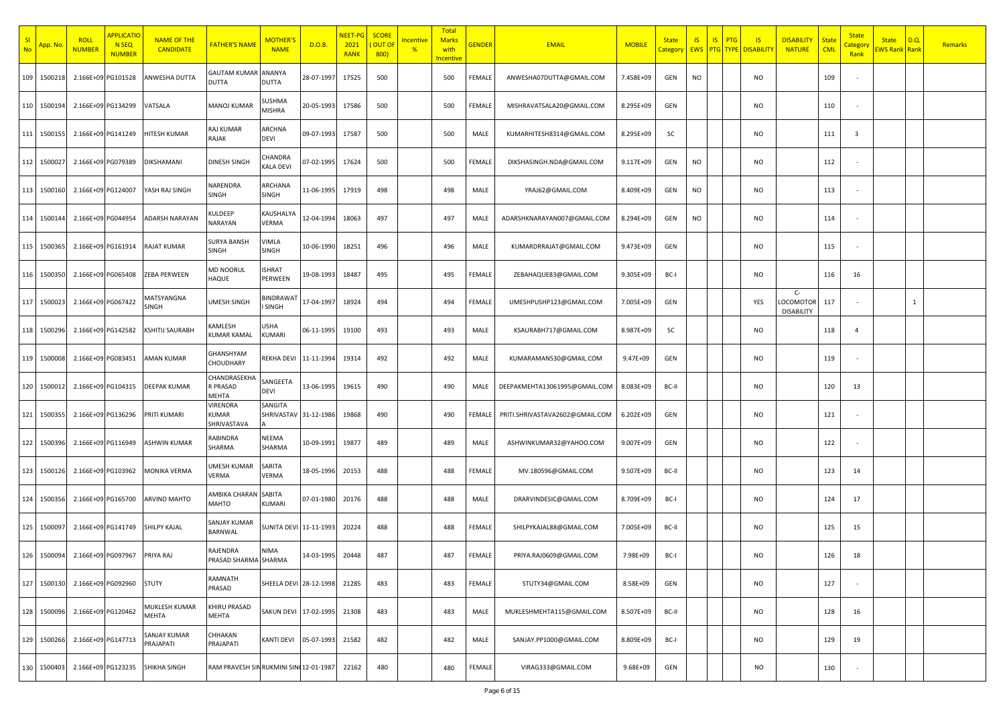| SI<br><b>No</b> | <mark>App. Nc</mark> | <b>ROLL</b><br><b>NUMBER</b> | <b>APPLICATIO</b><br><b>N SEQ</b><br><b>NUMBER</b> | <b>NAME OF THE</b><br><b>CANDIDATE</b> | <b>FATHER'S NAME</b>                           | <b>MOTHER'</b><br><b>NAME</b>    | D.O.B.     | <b>NEET-PG</b><br>2021<br><b>RANK</b> | <b>SCORE</b><br>OUT OI<br>800) | ncentive<br>$\frac{9}{6}$ | <b>Total</b><br><b>Marks</b><br>with<br><b>Incentive</b> | <b>GENDER</b> | <b>EMAIL</b>                    | <b>MOBILE</b> | <b>State</b><br>Category | <b>IS</b><br><b>EWS</b> | IS<br>PTG<br><b>PTG</b> TYPE | IS<br><b>DISABILITY</b> | <b>DISABILITY</b><br><b>NATURE</b>     | <b>State</b><br><b>CML</b> | <b>State</b><br><b>Category</b><br>Rank | <b>State</b><br><b>EWS Rank Rank</b> | D.Q.         | Remarks |
|-----------------|----------------------|------------------------------|----------------------------------------------------|----------------------------------------|------------------------------------------------|----------------------------------|------------|---------------------------------------|--------------------------------|---------------------------|----------------------------------------------------------|---------------|---------------------------------|---------------|--------------------------|-------------------------|------------------------------|-------------------------|----------------------------------------|----------------------------|-----------------------------------------|--------------------------------------|--------------|---------|
|                 | 109 1500218          | 2.166E+09 PG101528           |                                                    | ANWESHA DUTTA                          | <b>GAUTAM KUMAR</b><br><b>DUTTA</b>            | ANANYA<br>DUTTA                  | 28-07-1997 | 17525                                 | 500                            |                           | 500                                                      | FEMALE        | ANWESHA07DUTTA@GMAIL.COM        | 7.458E+09     | GEN                      | <b>NO</b>               |                              | <b>NO</b>               |                                        | 109                        |                                         |                                      |              |         |
|                 | 110 1500194          | 2.166E+09 PG134299           |                                                    | VATSALA                                | <b>MANOJ KUMAR</b>                             | SUSHMA<br>MISHRA                 | 20-05-1993 | 17586                                 | 500                            |                           | 500                                                      | FEMALE        | MISHRAVATSALA20@GMAIL.COM       | 8.295E+09     | GEN                      |                         |                              | <b>NO</b>               |                                        | 110                        |                                         |                                      |              |         |
|                 | 111 1500155          | 2.166E+09 PG141249           |                                                    | HITESH KUMAR                           | RAJ KUMAR<br>RAJAK                             | ARCHNA<br>DEVI                   | 09-07-1993 | 17587                                 | 500                            |                           | 500                                                      | MALE          | KUMARHITESH8314@GMAIL.COM       | 8.295E+09     | SC                       |                         |                              | <b>NO</b>               |                                        | 111                        | $\overline{\mathbf{3}}$                 |                                      |              |         |
|                 | 112 1500027          | 2.166E+09 PG079389           |                                                    | DIKSHAMANI                             | <b>DINESH SINGH</b>                            | CHANDRA<br>KALA DEVI             | 07-02-1995 | 17624                                 | 500                            |                           | 500                                                      | FEMALE        | DIKSHASINGH.NDA@GMAIL.COM       | 9.117E+09     | GEN                      | <b>NO</b>               |                              | NO                      |                                        | 112                        |                                         |                                      |              |         |
|                 | 113 1500160          | 2.166E+09 PG124007           |                                                    | YASH RAJ SINGH                         | NARENDRA<br>SINGH                              | ARCHANA<br>SINGH                 | 11-06-1995 | 17919                                 | 498                            |                           | 498                                                      | MALE          | YRAJ62@GMAIL.COM                | 8.409E+09     | GEN                      | <b>NO</b>               |                              | <b>NO</b>               |                                        | 113                        |                                         |                                      |              |         |
|                 | 114 1500144          | 2.166E+09 PG044954           |                                                    | <b>ADARSH NARAYAN</b>                  | KULDEEP<br>NARAYAN                             | KAUSHALYA<br><b>/ERMA</b>        | 12-04-1994 | 18063                                 | 497                            |                           | 497                                                      | MALE          | ADARSHKNARAYAN007@GMAIL.COM     | 8.294E+09     | GEN                      | <b>NO</b>               |                              | <b>NO</b>               |                                        | 114                        |                                         |                                      |              |         |
| 115             | 1500365              | 2.166E+09 PG161914           |                                                    | RAJAT KUMAR                            | <b>SURYA BANSH</b><br><b>SINGH</b>             | VIMLA<br>SINGH                   | 10-06-1990 | 18251                                 | 496                            |                           | 496                                                      | MALE          | KUMARDRRAJAT@GMAIL.COM          | 9.473E+09     | GEN                      |                         |                              | NO                      |                                        | 115                        |                                         |                                      |              |         |
|                 | 116 1500350          | 2.166E+09 PG065408           |                                                    | ZEBA PERWEEN                           | <b>MD NOORUL</b><br>HAQUE                      | <b>ISHRAT</b><br>PERWEEN         | 19-08-1993 | 18487                                 | 495                            |                           | 495                                                      | FEMALE        | ZEBAHAQUE83@GMAIL.COM           | 9.305E+09     | BC-I                     |                         |                              | <b>NO</b>               |                                        | 116                        | 16                                      |                                      |              |         |
|                 | 117 1500023          | 2.166E+09 PG067422           |                                                    | MATSYANGNA<br>SINGH                    | UMESH SINGH                                    | BINDRAWA<br>SINGH                | 17-04-1997 | 18924                                 | 494                            |                           | 494                                                      | FEMALE        | UMESHPUSHP123@GMAIL.COM         | 7.005E+09     | GEN                      |                         |                              | YES                     | $C-$<br>LOCOMOTOR<br><b>DISABILITY</b> | 117                        |                                         |                                      | $\mathbf{1}$ |         |
|                 | 118 1500296          | 2.166E+09 PG142582           |                                                    | KSHITIJ SAURABH                        | KAMLESH<br><b>KUMAR KAMAL</b>                  | USHA<br><b>KUMARI</b>            | 06-11-1995 | 19100                                 | 493                            |                           | 493                                                      | MALE          | KSAURABH717@GMAIL.COM           | 8.987E+09     | SC                       |                         |                              | NO                      |                                        | 118                        | $\overline{4}$                          |                                      |              |         |
|                 | 119 1500008          | 2.166E+09 PG083451           |                                                    | AMAN KUMAR                             | GHANSHYAM<br>CHOUDHARY                         | REKHA DEVI                       | 11-11-1994 | 19314                                 | 492                            |                           | 492                                                      | MALE          | KUMARAMAN530@GMAIL.COM          | 9.47E+09      | GEN                      |                         |                              | NO                      |                                        | 119                        |                                         |                                      |              |         |
|                 | 120 1500012          | 2.166E+09 PG104315           |                                                    | DEEPAK KUMAR                           | CHANDRASEKHA<br>R PRASAD<br>MEHTA              | SANGEETA<br>DEVI                 | 13-06-1995 | 19615                                 | 490                            |                           | 490                                                      | MALE          | DEEPAKMEHTA13061995@GMAIL.COM   | 8.083E+09     | BC-II                    |                         |                              | NO                      |                                        | 120                        | 13                                      |                                      |              |         |
| 121             | 1500355              | 2.166E+09 PG136296           |                                                    | PRITI KUMARI                           | <b>VIRENDRA</b><br><b>KUMAR</b><br>SHRIVASTAVA | SANGITA<br>SHRIVASTAV 31-12-1986 |            | 19868                                 | 490                            |                           | 490                                                      | FEMALE        | PRITI.SHRIVASTAVA2602@GMAIL.COM | $6.202E + 09$ | GEN                      |                         |                              | NO                      |                                        | 121                        |                                         |                                      |              |         |
|                 | 122 1500396          | 2.166E+09 PG116949           |                                                    | ASHWIN KUMAR                           | RABINDRA<br>SHARMA                             | NEEMA<br>SHARMA                  | 10-09-1991 | 19877                                 | 489                            |                           | 489                                                      | MALE          | ASHWINKUMAR32@YAHOO.COM         | 9.007E+09     | GEN                      |                         |                              | NO                      |                                        | 122                        |                                         |                                      |              |         |
|                 | 123 1500126          | 2.166E+09 PG103962           |                                                    | <b>MONIKA VERMA</b>                    | UMESH KUMAR<br>VERMA                           | SARITA<br>VERMA                  | 18-05-1996 | 20153                                 | 488                            |                           | 488                                                      | FEMALE        | MV.180596@GMAIL.COM             | 9.507E+09     | BC-II                    |                         |                              | <b>NO</b>               |                                        | 123                        | 14                                      |                                      |              |         |
|                 | 124 1500356          | 2.166E+09 PG165700           |                                                    | <b>ARVIND MAHTO</b>                    | AMBIKA CHARAN SABITA<br>MAHTO                  | <b>KUMARI</b>                    | 07-01-1980 | 20176                                 | 488                            |                           | 488                                                      | MALE          | DRARVINDESIC@GMAIL.COM          | 8.709E+09     | BC-I                     |                         |                              | NO                      |                                        | 124                        | 17                                      |                                      |              |         |
|                 | 125 1500097          | 2.166E+09 PG141749           |                                                    | SHILPY KAJAL                           | <b>SANJAY KUMAR</b><br>BARNWAL                 | SUNITA DEVI 11-11-1993           |            | 20224                                 | 488                            |                           | 488                                                      | FEMALE        | SHILPYKAJAL88@GMAIL.COM         | 7.005E+09     | BC-II                    |                         |                              | NO                      |                                        | 125                        | 15                                      |                                      |              |         |
|                 | 126 1500094          | 2.166E+09 PG097967           |                                                    | PRIYA RAJ                              | RAJENDRA<br>PRASAD SHARMA SHARMA               | NIMA                             | 14-03-1995 | 20448                                 | 487                            |                           | 487                                                      | FEMALE        | PRIYA.RAJ0609@GMAIL.COM         | 7.98E+09      | BC-I                     |                         |                              | <b>NO</b>               |                                        | 126                        | 18                                      |                                      |              |         |
|                 | 127 1500130          | 2.166E+09 PG092960           |                                                    | <b>STUTY</b>                           | RAMNATH<br>PRASAD                              | SHEELA DEVI 28-12-1998           |            | 21285                                 | 483                            |                           | 483                                                      | FEMALE        | STUTY34@GMAIL.COM               | 8.58E+09      | GEN                      |                         |                              | <b>NO</b>               |                                        | 127                        |                                         |                                      |              |         |
|                 | 128 1500096          | 2.166E+09 PG120462           |                                                    | MUKLESH KUMAR<br>MEHTA                 | KHIRU PRASAD<br><b>MEHTA</b>                   | SAKUN DEVI 17-02-1995            |            | 21308                                 | 483                            |                           | 483                                                      | MALE          | MUKLESHMEHTA115@GMAIL.COM       | 8.507E+09     | BC-II                    |                         |                              | <b>NO</b>               |                                        | 128                        | 16                                      |                                      |              |         |
|                 | 129 1500266          | 2.166E+09 PG147713           |                                                    | SANJAY KUMAR<br>PRAJAPATI              | CHHAKAN<br>PRAJAPATI                           | KANTI DEVI                       | 05-07-1993 | 21582                                 | 482                            |                           | 482                                                      | MALE          | SANJAY.PP1000@GMAIL.COM         | 8.809E+09     | BC-I                     |                         |                              | <b>NO</b>               |                                        | 129                        | 19                                      |                                      |              |         |
|                 | 130 1500403          | 2.166E+09 PG123235           |                                                    | SHIKHA SINGH                           | RAM PRAVESH SIN RUKMINI SIN 12-01-1987         |                                  |            | 22162                                 | 480                            |                           | 480                                                      | FEMALE        | VIRAG333@GMAIL.COM              | $9.68E + 09$  | GEN                      |                         |                              | NO                      |                                        | 130                        |                                         |                                      |              |         |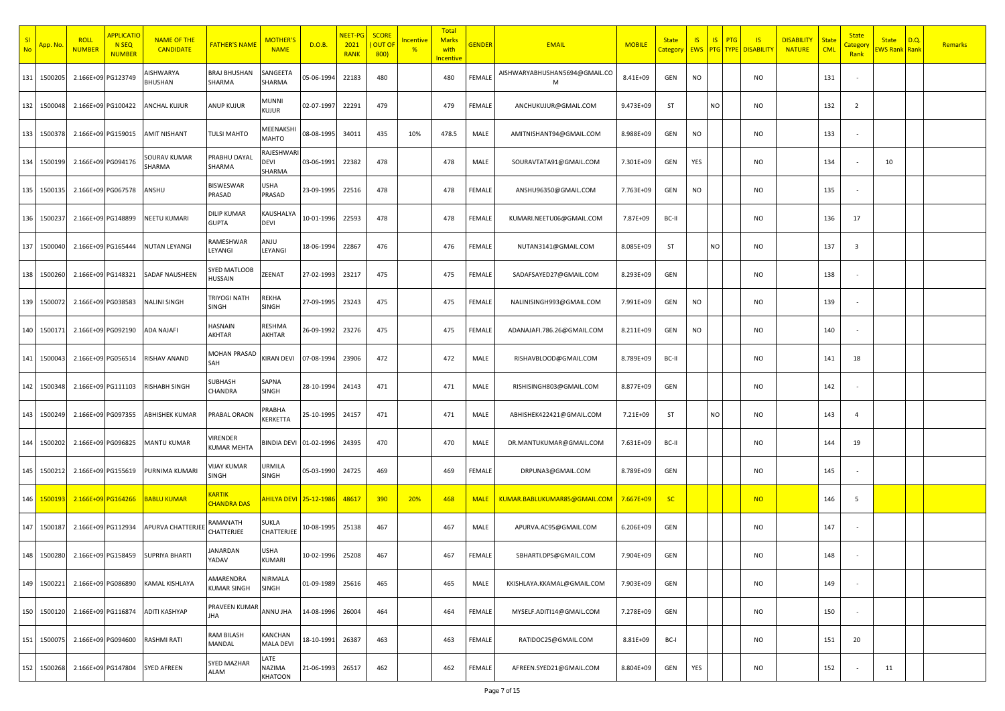| SI<br><b>No</b> | <mark>App. Nc</mark> | <b>ROLL</b><br><b>NUMBER</b> | <b>APPLICATIO</b><br>N <sub>SEQ</sub><br><b>NUMBER</b> | <b>NAME OF THE</b><br><b>CANDIDATE</b> | <b>FATHER'S NAME</b>                | <b>MOTHER'</b><br><b>NAME</b>          | D.O.B.     | <b>NEET-PG</b><br>2021<br><b>RANK</b> | <b>SCORE</b><br>OUT OI<br>800) | ncentive<br>$\frac{9}{6}$ | <b>Total</b><br><b>Marks</b><br>with<br><mark>Incentive</mark> | <b>GENDER</b> | <b>EMAIL</b>                       | <b>MOBILE</b> | <b>State</b><br>Category | <b>IS</b><br><b>EWS</b> | IS<br>PTG<br><b>PTG</b> TYPE | IS<br><b>DISABILITY</b> | <b>DISABILITY</b><br><b>NATURE</b> | <b>State</b><br><b>CML</b> | <b>State</b><br><b>Category</b><br>Rank | <b>State</b><br><b>EWS Rank Rank</b> | D.Q. | Remarks |
|-----------------|----------------------|------------------------------|--------------------------------------------------------|----------------------------------------|-------------------------------------|----------------------------------------|------------|---------------------------------------|--------------------------------|---------------------------|----------------------------------------------------------------|---------------|------------------------------------|---------------|--------------------------|-------------------------|------------------------------|-------------------------|------------------------------------|----------------------------|-----------------------------------------|--------------------------------------|------|---------|
|                 | 131 1500205          | 2.166E+09 PG123749           |                                                        | <b>ISHWARYA</b><br>BHUSHAN             | <b>BRAJ BHUSHAN</b><br>SHARMA       | SANGEETA<br>SHARMA                     | 05-06-1994 | 22183                                 | 480                            |                           | 480                                                            | FEMALE        | AISHWARYABHUSHAN5694@GMAIL.CO<br>М | 8.41E+09      | GEN                      | <b>NO</b>               |                              | <b>NO</b>               |                                    | 131                        |                                         |                                      |      |         |
|                 | 132 1500048          | 2.166E+09 PG100422           |                                                        | ANCHAL KUJUR                           | <b>ANUP KUJUR</b>                   | MUNNI<br>KUJUR                         | 02-07-1997 | 22291                                 | 479                            |                           | 479                                                            | FEMALE        | ANCHUKUJUR@GMAIL.COM               | 9.473E+09     | ST                       |                         | NO                           | <b>NO</b>               |                                    | 132                        | $\overline{2}$                          |                                      |      |         |
|                 | 133 1500378          | 2.166E+09 PG159015           |                                                        | <b>AMIT NISHANT</b>                    | TULSI MAHTO                         | MEENAKSH<br>MAHTO                      | 08-08-1995 | 34011                                 | 435                            | 10%                       | 478.5                                                          | MALE          | AMITNISHANT94@GMAIL.COM            | 8.988E+09     | GEN                      | <b>NO</b>               |                              | <b>NO</b>               |                                    | 133                        |                                         |                                      |      |         |
|                 | 134 1500199          | 2.166E+09 PG094176           |                                                        | SOURAV KUMAR<br>SHARMA                 | PRABHU DAYAL<br>SHARMA              | RAJESHWAR<br>DEVI<br>SHARMA            | 03-06-1991 | 22382                                 | 478                            |                           | 478                                                            | MALE          | SOURAVTATA91@GMAIL.COM             | 7.301E+09     | GEN                      | YES                     |                              | <b>NO</b>               |                                    | 134                        |                                         | 10                                   |      |         |
|                 | 135 1500135          | 2.166E+09 PG067578           |                                                        | ANSHU                                  | <b>BISWESWAR</b><br>PRASAD          | USHA<br>PRASAD                         | 23-09-1995 | 22516                                 | 478                            |                           | 478                                                            | FEMALE        | ANSHU96350@GMAIL.COM               | 7.763E+09     | GEN                      | <b>NO</b>               |                              | <b>NO</b>               |                                    | 135                        |                                         |                                      |      |         |
| 136             | 1500237              | 2.166E+09 PG148899           |                                                        | NEETU KUMARI                           | <b>DILIP KUMAR</b><br><b>GUPTA</b>  | KAUSHALYA<br>devi                      | 10-01-1996 | 22593                                 | 478                            |                           | 478                                                            | FEMALE        | KUMARI.NEETU06@GMAIL.COM           | 7.87E+09      | BC-II                    |                         |                              | <b>NO</b>               |                                    | 136                        | 17                                      |                                      |      |         |
| 137             | 1500040              | 2.166E+09 PG165444           |                                                        | <b>NUTAN LEYANGI</b>                   | RAMESHWAR<br>LEYANGI                | ANJU<br>LEYANGI                        | 18-06-1994 | 22867                                 | 476                            |                           | 476                                                            | FEMALE        | NUTAN3141@GMAIL.COM                | 8.085E+09     | ST                       |                         | <b>NO</b>                    | NO                      |                                    | 137                        | $\overline{\mathbf{3}}$                 |                                      |      |         |
|                 | 138 1500260          | 2.166E+09 PG148321           |                                                        | SADAF NAUSHEEN                         | SYED MATLOOB<br>HUSSAIN             | ZEENAT                                 | 27-02-1993 | 23217                                 | 475                            |                           | 475                                                            | FEMALE        | SADAFSAYED27@GMAIL.COM             | 8.293E+09     | GEN                      |                         |                              | <b>NO</b>               |                                    | 138                        |                                         |                                      |      |         |
|                 | 139 1500072          | 2.166E+09 PG038583           |                                                        | <b>NALINI SINGH</b>                    | <b>TRIYOGI NATH</b><br><b>SINGH</b> | REKHA<br>SINGH                         | 27-09-1995 | 23243                                 | 475                            |                           | 475                                                            | FEMALE        | NALINISINGH993@GMAIL.COM           | 7.991E+09     | GEN                      | <b>NO</b>               |                              | <b>NO</b>               |                                    | 139                        |                                         |                                      |      |         |
|                 | 140 1500171          | 2.166E+09 PG092190           |                                                        | ADA NAJAFI                             | HASNAIN<br>AKHTAR                   | RESHMA<br>AKHTAR                       | 26-09-1992 | 23276                                 | 475                            |                           | 475                                                            | FEMALE        | ADANAJAFI.786.26@GMAIL.COM         | 8.211E+09     | GEN                      | <b>NO</b>               |                              | NO                      |                                    | 140                        |                                         |                                      |      |         |
|                 | 141 150004           | 2.166E+09 PG056514           |                                                        | RISHAV ANAND                           | MOHAN PRASAD<br>SAH                 | <b>KIRAN DEVI</b>                      | 07-08-1994 | 23906                                 | 472                            |                           | 472                                                            | MALE          | RISHAVBLOOD@GMAIL.COM              | 8.789E+09     | BC-II                    |                         |                              | NO                      |                                    | 141                        | 18                                      |                                      |      |         |
|                 | 142 1500348          | 2.166E+09 PG111103           |                                                        | RISHABH SINGH                          | SUBHASH<br>CHANDRA                  | SAPNA<br>SINGH                         | 28-10-1994 | 24143                                 | 471                            |                           | 471                                                            | MALE          | RISHISINGH803@GMAIL.COM            | 8.877E+09     | GEN                      |                         |                              | NO                      |                                    | 142                        |                                         |                                      |      |         |
| 143             | 1500249              | 2.166E+09 PG097355           |                                                        | ABHISHEK KUMAR                         | PRABAL ORAON                        | PRABHA<br>KERKETTA                     | 25-10-1995 | 24157                                 | 471                            |                           | 471                                                            | MALE          | ABHISHEK422421@GMAIL.COM           | 7.21E+09      | ST                       |                         | NO.                          | NO                      |                                    | 143                        | $\overline{4}$                          |                                      |      |         |
|                 | 144 1500202          | 2.166E+09 PG096825           |                                                        | MANTU KUMAR                            | VIRENDER<br><b>KUMAR MEHTA</b>      | <b>BINDIA DEV</b>                      | 01-02-1996 | 24395                                 | 470                            |                           | 470                                                            | MALE          | DR.MANTUKUMAR@GMAIL.COM            | 7.631E+09     | BC-II                    |                         |                              | NO                      |                                    | 144                        | 19                                      |                                      |      |         |
|                 | 145 1500212          | 2.166E+09 PG155619           |                                                        | PURNIMA KUMARI                         | <b>VIJAY KUMAR</b><br><b>SINGH</b>  | URMILA<br>SINGH                        | 05-03-1990 | 24725                                 | 469                            |                           | 469                                                            | FEMALE        | DRPUNA3@GMAIL.COM                  | 8.789E+09     | GEN                      |                         |                              | <b>NO</b>               |                                    | 145                        |                                         |                                      |      |         |
|                 | 146 1500193          | 2.166E+09 PG164266           |                                                        | <b>BABLU KUMAR</b>                     | <b>KARTIK</b><br><b>CHANDRA DAS</b> | <mark>AHILYA DEVI   25-12-198</mark> 6 |            | 48617                                 | 390                            | 20%                       | 468                                                            | <b>MALE</b>   | KUMAR.BABLUKUMAR85@GMAIL.COM       | 7.667E+09     | <b>SC</b>                |                         |                              | <b>NO</b>               |                                    | 146                        | 5                                       |                                      |      |         |
|                 | 147 1500187          | 2.166E+09 PG112934           |                                                        | APURVA CHATTERJEE                      | RAMANATH<br>CHATTERJEE              | SUKLA<br>CHATTERJEE                    | 10-08-1995 | 25138                                 | 467                            |                           | 467                                                            | MALE          | APURVA.AC95@GMAIL.COM              | 6.206E+09     | GEN                      |                         |                              | NO                      |                                    | 147                        |                                         |                                      |      |         |
|                 | 148 1500280          | 2.166E+09 PG158459           |                                                        | <b>SUPRIYA BHARTI</b>                  | JANARDAN<br>YADAV                   | USHA<br>KUMARI                         | 10-02-1996 | 25208                                 | 467                            |                           | 467                                                            | FEMALE        | SBHARTI.DPS@GMAIL.COM              | 7.904E+09     | GEN                      |                         |                              | <b>NO</b>               |                                    | 148                        |                                         |                                      |      |         |
|                 | 149 1500221          | 2.166E+09 PG086890           |                                                        | KAMAL KISHLAYA                         | AMARENDRA<br><b>KUMAR SINGH</b>     | NIRMALA<br>SINGH                       | 01-09-1989 | 25616                                 | 465                            |                           | 465                                                            | MALE          | KKISHLAYA.KKAMAL@GMAIL.COM         | 7.903E+09     | GEN                      |                         |                              | <b>NO</b>               |                                    | 149                        |                                         |                                      |      |         |
| 150             | 1500120              | 2.166E+09 PG116874           |                                                        | <b>ADITI KASHYAP</b>                   | PRAVEEN KUMAR<br>JHA                | ANNU JHA                               | 14-08-1996 | 26004                                 | 464                            |                           | 464                                                            | FEMALE        | MYSELF.ADITI14@GMAIL.COM           | 7.278E+09     | GEN                      |                         |                              | <b>NO</b>               |                                    | 150                        |                                         |                                      |      |         |
|                 | 151 1500075          | 2.166E+09 PG094600           |                                                        | RASHMI RATI                            | <b>RAM BILASH</b><br>MANDAL         | KANCHAN<br><b>MALA DEVI</b>            | 18-10-1991 | 26387                                 | 463                            |                           | 463                                                            | FEMALE        | RATIDOC25@GMAIL.COM                | 8.81E+09      | BC-I                     |                         |                              | <b>NO</b>               |                                    | 151                        | 20                                      |                                      |      |         |
|                 | 152 1500268          | 2.166E+09 PG147804           |                                                        | <b>SYED AFREEN</b>                     | <b>SYED MAZHAR</b><br><b>ALAM</b>   | LATE<br>NAZIMA<br>KHATOON              | 21-06-1993 | 26517                                 | 462                            |                           | 462                                                            | FEMALE        | AFREEN.SYED21@GMAIL.COM            | 8.804E+09     | GEN                      | YES                     |                              | <b>NO</b>               |                                    | 152                        |                                         | 11                                   |      |         |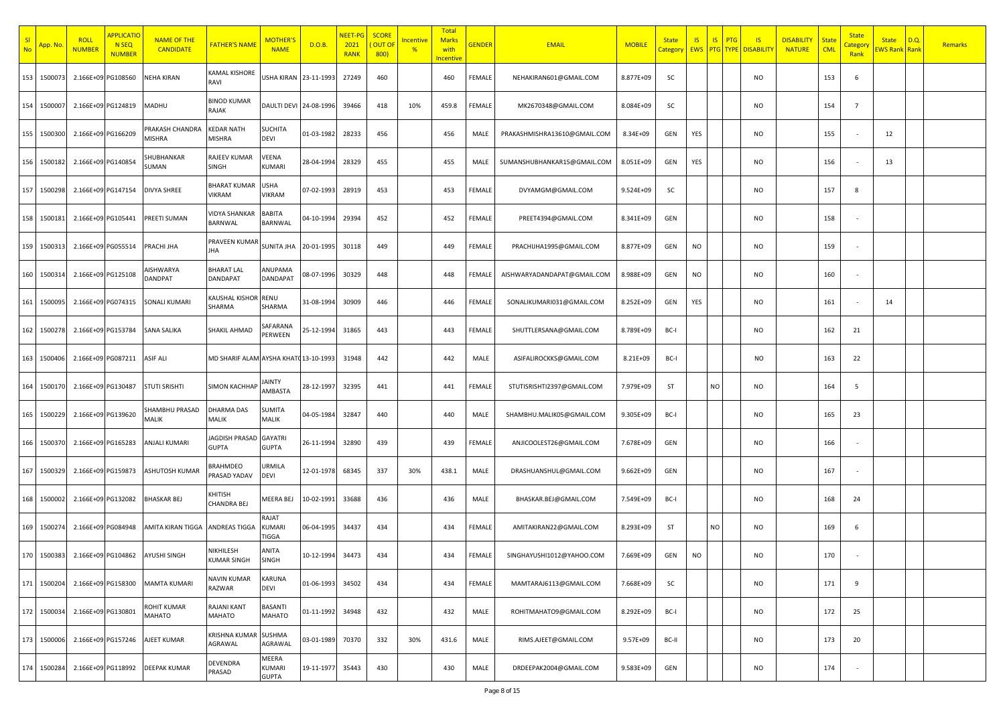| SI<br><b>No</b> | <mark>App. No</mark> | <b>ROLL</b><br><b>NUMBER</b> | <b>APPLICATIC</b><br>N <sub>SEQ</sub><br><b>NUMBER</b> | <b>NAME OF THE</b><br><b>CANDIDATE</b> | <b>FATHER'S NAME</b>                  | <b>MOTHER'</b><br><b>NAME</b>          | D.O.B.     | <mark>NEET-PG</mark><br>2021<br><b>RANK</b> | <b>SCORE</b><br><b>OUT OF</b><br>800) | <u>Incentive</u><br>$\frac{9}{6}$ | Total<br><b>Marks</b><br>with<br>ncentive | <b>GENDER</b> | <b>EMAIL</b>                 | <b>MOBILE</b> | <b>State</b><br>Category | <b>IS</b> | S <br>PTG | IS<br><b>EWS PTG TYPE DISABILITY</b> | <b>DISABILITY</b><br><b>NATURE</b> | State<br><b>CML</b> | <b>State</b><br><mark>Categor</mark><br>Rank | <b>State</b><br><b>EWS Rank Rank</b> | D.Q. | <b>Remarks</b> |
|-----------------|----------------------|------------------------------|--------------------------------------------------------|----------------------------------------|---------------------------------------|----------------------------------------|------------|---------------------------------------------|---------------------------------------|-----------------------------------|-------------------------------------------|---------------|------------------------------|---------------|--------------------------|-----------|-----------|--------------------------------------|------------------------------------|---------------------|----------------------------------------------|--------------------------------------|------|----------------|
| 153             | 150007               | 2.166E+09 PG108560           |                                                        | NEHA KIRAN                             | KAMAL KISHORE<br>RAVI                 | USHA KIRAN 23-11-1993                  |            | 27249                                       | 460                                   |                                   | 460                                       | FEMALE        | NEHAKIRAN601@GMAIL.COM       | 8.877E+09     | SC                       |           |           | NO                                   |                                    | 153                 | 6                                            |                                      |      |                |
| 154             | 150000               |                              | 2.166E+09 PG124819                                     | MADHU                                  | BINOD KUMAR<br>RAJAK                  | DAULTI DEVI 24-08-1996                 |            | 39466                                       | 418                                   | 10%                               | 459.8                                     | FEMALE        | MK2670348@GMAIL.COM          | 8.084E+09     | SC                       |           |           | <b>NO</b>                            |                                    | 154                 | $\overline{7}$                               |                                      |      |                |
| 155             | 1500300              | 2.166E+09 PG166209           |                                                        | PRAKASH CHANDRA<br>MISHRA              | <b>KEDAR NATH</b><br>MISHRA           | <b>SUCHITA</b><br>DEVI                 | 01-03-1982 | 28233                                       | 456                                   |                                   | 456                                       | MALE          | PRAKASHMISHRA13610@GMAIL.COM | 8.34E+09      | GEN                      | YES       |           | <b>NO</b>                            |                                    | 155                 |                                              | 12                                   |      |                |
| 156             | 1500182              | 2.166E+09 PG140854           |                                                        | SHUBHANKAR<br>SUMAN                    | RAJEEV KUMAR<br>SINGH                 | VEENA<br>KUMARI                        | 28-04-1994 | 28329                                       | 455                                   |                                   | 455                                       | MALE          | SUMANSHUBHANKAR15@GMAIL.COM  | 8.051E+09     | GEN                      | YES       |           | NO                                   |                                    | 156                 |                                              | 13                                   |      |                |
| 157             | 1500298              | 2.166E+09 PG147154           |                                                        | <b>DIVYA SHREE</b>                     | <b>BHARAT KUMAR</b><br>VIKRAM         | <b>USHA</b><br><b>VIKRAM</b>           | 07-02-1993 | 28919                                       | 453                                   |                                   | 453                                       | FEMALE        | DVYAMGM@GMAIL.COM            | 9.524E+09     | SC                       |           |           | <b>NO</b>                            |                                    | 157                 | 8                                            |                                      |      |                |
| 158             | 1500181              |                              | 2.166E+09 PG105441                                     | PREETI SUMAN                           | <b>JIDYA SHANKAR</b><br>BARNWAL       | BABITA<br>BARNWAL                      | 04-10-1994 | 29394                                       | 452                                   |                                   | 452                                       | FEMALE        | PREET4394@GMAIL.COM          | 8.341E+09     | GEN                      |           |           | <b>NO</b>                            |                                    | 158                 |                                              |                                      |      |                |
| 159             | 150031               |                              | 2.166E+09 PG055514                                     | PRACHI JHA                             | PRAVEEN KUMAF<br><b>HA</b>            | <b>SUNITA JHA</b>                      | 20-01-1995 | 30118                                       | 449                                   |                                   | 449                                       | FEMALE        | PRACHIJHA1995@GMAIL.COM      | 8.877E+09     | GEN                      | <b>NO</b> |           | <b>NO</b>                            |                                    | 159                 |                                              |                                      |      |                |
| 160             | 150031               | 2.166E+09 PG125108           |                                                        | NSHWARYA<br>DANDPAT                    | <b>BHARAT LAL</b><br>DANDAPAT         | ANUPAMA<br><b>DANDAPAT</b>             | 08-07-1996 | 30329                                       | 448                                   |                                   | 448                                       | FEMALE        | AISHWARYADANDAPAT@GMAIL.COM  | 8.988E+09     | GEN                      | <b>NO</b> |           | <b>NO</b>                            |                                    | 160                 |                                              |                                      |      |                |
| 161             | 1500095              | 2.166E+09 PG074315           |                                                        | <b>SONALI KUMARI</b>                   | KAUSHAL KISHOR<br>SHARMA              | RENU<br>SHARMA                         | 31-08-1994 | 30909                                       | 446                                   |                                   | 446                                       | FEMALE        | SONALIKUMARI031@GMAIL.COM    | 8.252E+09     | GEN                      | YES       |           | <b>NO</b>                            |                                    | 161                 |                                              | 14                                   |      |                |
| 162             | 150027               | 2.166E+09 PG153784           |                                                        | SANA SALIKA                            | SHAKIL AHMAD                          | SAFARANA<br>PERWEEN                    | 25-12-1994 | 31865                                       | 443                                   |                                   | 443                                       | FEMALE        | SHUTTLERSANA@GMAIL.COM       | 8.789E+09     | BC-I                     |           |           | <b>NO</b>                            |                                    | 162                 | 21                                           |                                      |      |                |
| 163             | 1500406              | 2.166E+09 PG087211           |                                                        | ASIF ALI                               | MD SHARIF ALAM AYSHA KHATC 13-10-1993 |                                        |            | 31948                                       | 442                                   |                                   | 442                                       | MALE          | ASIFALIROCKKS@GMAIL.COM      | 8.21E+09      | BC-I                     |           |           | NO                                   |                                    | 163                 | 22                                           |                                      |      |                |
| 164             | 150017               | 2.166E+09 PG130487           |                                                        | <b>STUTI SRISHTI</b>                   | <b>SIMON KACHHAF</b>                  | JAINTY<br>AMBASTA                      | 28-12-1997 | 32395                                       | 441                                   |                                   | 441                                       | FEMALE        | STUTISRISHTI2397@GMAIL.COM   | 7.979E+09     | ST                       |           | <b>NO</b> | <b>NO</b>                            |                                    | 164                 | 5                                            |                                      |      |                |
| 165             | 150022               | 2.166E+09 PG139620           |                                                        | SHAMBHU PRASAD<br>MALIK                | DHARMA DAS<br>MALIK                   | SUMITA<br>MALIK                        | 04-05-1984 | 32847                                       | 440                                   |                                   | 440                                       | MALE          | SHAMBHU.MALIK05@GMAIL.COM    | 9.305E+09     | BC-I                     |           |           | <b>NO</b>                            |                                    | 165                 | 23                                           |                                      |      |                |
| 166             | 150037               | 2.166E+09 PG165283           |                                                        | ANJALI KUMARI                          | AGDISH PRASAD<br>GUPTA                | <b>GAYATRI</b><br>GUPTA                | 26-11-1994 | 32890                                       | 439                                   |                                   | 439                                       | FEMALE        | ANJICOOLEST26@GMAIL.COM      | 7.678E+09     | GEN                      |           |           | NO.                                  |                                    | 166                 |                                              |                                      |      |                |
| 167             | 150032               | 2.166E+09 PG159873           |                                                        | ASHUTOSH KUMAR                         | 3RAHMDEO<br>PRASAD YADAV              | URMILA<br><b>DEVI</b>                  | 12-01-1978 | 68345                                       | 337                                   | 30%                               | 438.1                                     | MALE          | DRASHUANSHUL@GMAIL.COM       | 9.662E+09     | GEN                      |           |           | NO                                   |                                    | 167                 |                                              |                                      |      |                |
| 168             | 150000               | 2.166E+09 PG132082           |                                                        | BHASKAR BEJ                            | <b>KHITISH</b><br>CHANDRA BEJ         | MEERA BEJ                              | 10-02-1991 | 33688                                       | 436                                   |                                   | 436                                       | MALE          | BHASKAR.BEJ@GMAIL.COM        | 7.549E+09     | BC-I                     |           |           | <b>NO</b>                            |                                    | 168                 | 24                                           |                                      |      |                |
| 169             | 150027               |                              | 2.166E+09 PG084948                                     | AMITA KIRAN TIGGA                      | ANDREAS TIGGA                         | RAJAT<br><b>KUMARI</b><br>TIGGA        | 06-04-1995 | 34437                                       | 434                                   |                                   | 434                                       | FEMALE        | AMITAKIRAN22@GMAIL.COM       | 8.293E+09     | ST                       |           | <b>NO</b> | NO                                   |                                    | 169                 | 6                                            |                                      |      |                |
| 170             | 1500383              |                              | 2.166E+09 PG104862                                     | AYUSHI SINGH                           | VIKHILESH<br>UMAR SINGH               | ANITA<br>SINGH                         | 10-12-1994 | 34473                                       | 434                                   |                                   | 434                                       | FEMALE        | SINGHAYUSHI1012@YAHOO.COM    | 7.669E+09     | GEN                      | <b>NO</b> |           | NO                                   |                                    | 170                 |                                              |                                      |      |                |
| 171             | 1500204              | 2.166E+09 PG158300           |                                                        | <b>MAMTA KUMARI</b>                    | NAVIN KUMAR<br>RAZWAR                 | KARUNA<br>DEVI                         | 01-06-1993 | 34502                                       | 434                                   |                                   | 434                                       | FEMALE        | MAMTARAJ6113@GMAIL.COM       | 7.668E+09     | SC                       |           |           | <b>NO</b>                            |                                    | 171                 | 9                                            |                                      |      |                |
| 172             | 1500034              | 2.166E+09 PG130801           |                                                        | ROHIT KUMAR<br>MAHATO                  | RAJANI KANT<br>MAHATO                 | BASANTI<br><b>MAHATO</b>               | 01-11-1992 | 34948                                       | 432                                   |                                   | 432                                       | MALE          | ROHITMAHATO9@GMAIL.COM       | 8.292E+09     | BC-I                     |           |           | <b>NO</b>                            |                                    | 172                 | 25                                           |                                      |      |                |
| 173             | 1500006              |                              | 2.166E+09 PG157246                                     | AJEET KUMAR                            | <b>KRISHNA KUMAR</b><br>AGRAWAL       | SUSHMA<br>AGRAWAL                      | 03-01-1989 | 70370                                       | 332                                   | 30%                               | 431.6                                     | MALE          | RIMS.AJEET@GMAIL.COM         | 9.57E+09      | BC-II                    |           |           | <b>NO</b>                            |                                    | 173                 | 20                                           |                                      |      |                |
|                 | 174 1500284          | 2.166E+09 PG118992           |                                                        | <b>DEEPAK KUMAR</b>                    | DEVENDRA<br>PRASAD                    | MEERA<br><b>KUMARI</b><br><b>GUPTA</b> | 19-11-1977 | 35443                                       | 430                                   |                                   | 430                                       | MALE          | DRDEEPAK2004@GMAIL.COM       | 9.583E+09     | GEN                      |           |           | <b>NO</b>                            |                                    | 174                 | $\overline{\phantom{a}}$                     |                                      |      |                |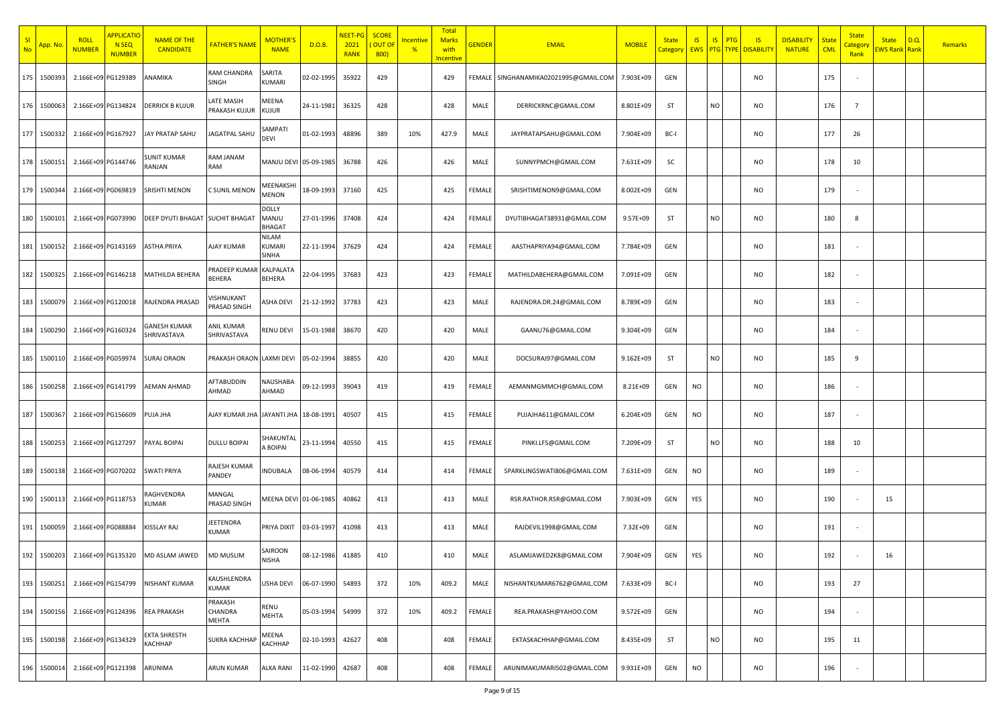| SI<br><b>No</b> | <mark>App. No</mark> | <b>ROLL</b><br><mark>NUMBER</mark> | <b>APPLICATIC</b><br>N <sub>SEQ</sub><br><b>NUMBER</b> | <b>NAME OF THE</b><br><b>CANDIDATE</b> | <b>FATHER'S NAME</b>              | MOTHER'<br><b>NAME</b>                 | D.O.B.     | <b>NEET-PG</b><br>2021<br><b>RANK</b> | <b>SCORE</b><br><b>OUT OF</b><br>800) | ncentive<br>$\frac{9}{6}$ | <b>Total</b><br><b>Marks</b><br>with<br><mark>Incentive</mark> | <b>GENDER</b> | <b>EMAIL</b>                          | <b>MOBILE</b> | <b>State</b><br>Category | <b>IS</b><br><b>EWS</b> | IS<br>PTG | IS<br><b>PTG</b> TYPE DISABILITY | <b>DISABILITY</b><br><b>NATURE</b> | <b>State</b><br><b>CML</b> | <b>State</b><br><mark>Categor</mark><br>Rank | <b>State</b><br>EWS Rank Rank | D.Q. | <b>Remarks</b> |
|-----------------|----------------------|------------------------------------|--------------------------------------------------------|----------------------------------------|-----------------------------------|----------------------------------------|------------|---------------------------------------|---------------------------------------|---------------------------|----------------------------------------------------------------|---------------|---------------------------------------|---------------|--------------------------|-------------------------|-----------|----------------------------------|------------------------------------|----------------------------|----------------------------------------------|-------------------------------|------|----------------|
| 175             | 1500393              | 2.166E+09 PG129389                 |                                                        | ANAMIKA                                | RAM CHANDRA<br>SINGH              | SARITA<br><b>KUMARI</b>                | 02-02-1995 | 35922                                 | 429                                   |                           | 429                                                            |               | FEMALE SINGHANAMIKA02021995@GMAIL.COM | 7.903E+09     | GEN                      |                         |           | NO                               |                                    | 175                        |                                              |                               |      |                |
|                 | 176 150006           | 2.166E+09 PG134824                 |                                                        | <b>DERRICK B KUJUR</b>                 | LATE MASIH<br>PRAKASH KUJUR       | MEENA<br>KUJUR                         | 24-11-1981 | 36325                                 | 428                                   |                           | 428                                                            | MALE          | DERRICKRNC@GMAIL.COM                  | 8.801E+09     | ST                       |                         | NO        | <b>NO</b>                        |                                    | 176                        | $\overline{7}$                               |                               |      |                |
|                 | 177 1500332          | 2.166E+09 PG167927                 |                                                        | JAY PRATAP SAHU                        | JAGATPAL SAHU                     | SAMPATI<br>DEVI                        | 01-02-1993 | 48896                                 | 389                                   | 10%                       | 427.9                                                          | MALE          | JAYPRATAPSAHU@GMAIL.COM               | 7.904E+09     | BC-I                     |                         |           | <b>NO</b>                        |                                    | 177                        | 26                                           |                               |      |                |
|                 | 178 1500151          | 2.166E+09 PG144746                 |                                                        | SUNIT KUMAR<br>RANJAN                  | RAM JANAM<br>RAM                  | MANJU DEVI 05-09-1985                  |            | 36788                                 | 426                                   |                           | 426                                                            | MALE          | SUNNYPMCH@GMAIL.COM                   | 7.631E+09     | SC                       |                         |           | NO                               |                                    | 178                        | 10                                           |                               |      |                |
|                 | 179 1500344          | 2.166E+09 PG069819                 |                                                        | SRISHTI MENON                          | <b>C SUNIL MENON</b>              | MEENAKSH<br><b>MENON</b>               | 18-09-1993 | 37160                                 | 425                                   |                           | 425                                                            | FEMALE        | SRISHTIMENON9@GMAIL.COM               | 8.002E+09     | GEN                      |                         |           | NO                               |                                    | 179                        |                                              |                               |      |                |
| 180             | 1500101              | 2.166E+09 PG073990                 |                                                        | DEEP DYUTI BHAGAT SUCHIT BHAGAT        |                                   | <b>DOLLY</b><br>MANJU<br><b>BHAGAT</b> | 27-01-1996 | 37408                                 | 424                                   |                           | 424                                                            | FEMALE        | DYUTIBHAGAT38931@GMAIL.COM            | $9.57E + 09$  | ST                       |                         | NO        | <b>NO</b>                        |                                    | 180                        | 8                                            |                               |      |                |
| 181             | 1500152              | 2.166E+09 PG143169                 |                                                        | ASTHA PRIYA                            | <b>AJAY KUMAR</b>                 | NILAM<br>KUMARI<br>SINHA               | 22-11-1994 | 37629                                 | 424                                   |                           | 424                                                            | FEMALE        | AASTHAPRIYA94@GMAIL.COM               | 7.784E+09     | GEN                      |                         |           | NO                               |                                    | 181                        |                                              |                               |      |                |
|                 | 182 1500325          | 2.166E+09 PG146218                 |                                                        | MATHILDA BEHERA                        | PRADEEP KUMAR<br><b>BEHERA</b>    | KALPALATA<br><b>BEHERA</b>             | 22-04-1995 | 37683                                 | 423                                   |                           | 423                                                            | FEMALE        | MATHILDABEHERA@GMAIL.COM              | 7.091E+09     | GEN                      |                         |           | NO                               |                                    | 182                        |                                              |                               |      |                |
|                 | 183 1500079          | 2.166E+09 PG120018                 |                                                        | RAJENDRA PRASAD                        | <b>JISHNUKANT</b><br>PRASAD SINGH | ASHA DEVI                              | 21-12-1992 | 37783                                 | 423                                   |                           | 423                                                            | MALE          | RAJENDRA.DR.24@GMAIL.COM              | 8.789E+09     | GEN                      |                         |           | <b>NO</b>                        |                                    | 183                        |                                              |                               |      |                |
|                 | 184 1500290          | 2.166E+09 PG160324                 |                                                        | GANESH KUMAR<br>SHRIVASTAVA            | <b>ANIL KUMAR</b><br>SHRIVASTAVA  | RENU DEVI                              | 15-01-1988 | 38670                                 | 420                                   |                           | 420                                                            | MALE          | GAANU76@GMAIL.COM                     | 9.304E+09     | GEN                      |                         |           | <b>NO</b>                        |                                    | 184                        |                                              |                               |      |                |
|                 | 185 1500110          | 2.166E+09 PG059974                 |                                                        | <b>SURAJ ORAON</b>                     | PRAKASH ORAON LAXMI DEVI          |                                        | 05-02-1994 | 38855                                 | 420                                   |                           | 420                                                            | MALE          | DOCSURAJ97@GMAIL.COM                  | 9.162E+09     | ST                       |                         | NO        | NO                               |                                    | 185                        | 9                                            |                               |      |                |
|                 | 186 1500258          | 2.166E+09 PG141799                 |                                                        | <b>AEMAN AHMAD</b>                     | AFTABUDDIN<br>AHMAD               | NAUSHABA<br>AHMAD                      | 09-12-1993 | 39043                                 | 419                                   |                           | 419                                                            | FEMALE        | AEMANMGMMCH@GMAIL.COM                 | 8.21E+09      | GEN                      | <b>NO</b>               |           | <b>NO</b>                        |                                    | 186                        |                                              |                               |      |                |
| 187             | 150036               | 2.166E+09 PG156609                 |                                                        | PUJA JHA                               | AJAY KUMAR JHA JAYANTI JHA        |                                        | 18-08-1991 | 40507                                 | 415                                   |                           | 415                                                            | FEMALE        | PUJAJHA611@GMAIL.COM                  | 6.204E+09     | GEN                      | <b>NO</b>               |           | <b>NO</b>                        |                                    | 187                        |                                              |                               |      |                |
| 188             | 1500253              | 2.166E+09 PG127297                 |                                                        | PAYAL BOIPAI                           | <b>DULLU BOIPAI</b>               | SHAKUNTA<br>A BOIPAI                   | 23-11-1994 | 40550                                 | 415                                   |                           | 415                                                            | FEMALE        | PINKI.LFS@GMAIL.COM                   | 7.209E+09     | ST                       |                         | NO.       | NO                               |                                    | 188                        | 10                                           |                               |      |                |
| 189             | 1500138              | 2.166E+09 PG070202                 |                                                        | SWATI PRIYA                            | RAJESH KUMAR<br>PANDEY            | INDUBALA                               | 08-06-1994 | 40579                                 | 414                                   |                           | 414                                                            | FEMALE        | SPARKLINGSWATI806@GMAIL.COM           | 7.631E+09     | GEN                      | <b>NO</b>               |           | NO                               |                                    | 189                        |                                              |                               |      |                |
|                 | 190 1500113          | 2.166E+09 PG118753                 |                                                        | RAGHVENDRA<br>KUMAR                    | MANGAL<br>PRASAD SINGH            | MEENA DEVI 01-06-1985                  |            | 40862                                 | 413                                   |                           | 413                                                            | MALE          | RSR.RATHOR.RSR@GMAIL.COM              | 7.903E+09     | GEN                      | YES                     |           | <b>NO</b>                        |                                    | 190                        |                                              | 15                            |      |                |
|                 | 191 1500059          | 2.166E+09 PG088884                 |                                                        | KISSLAY RAJ                            | JEETENDRA<br><b>KUMAR</b>         | PRIYA DIXIT                            | 03-03-1997 | 41098                                 | 413                                   |                           | 413                                                            | MALE          | RAJDEVIL1998@GMAIL.COM                | 7.32E+09      | GEN                      |                         |           | NO                               |                                    | 191                        |                                              |                               |      |                |
|                 | 192 1500203          | 2.166E+09 PG135320                 |                                                        | MD ASLAM JAWED                         | <b>MD MUSLIM</b>                  | SAIROON                                | 08-12-1986 | 41885                                 | 410                                   |                           | 410                                                            | MALE          | ASLAMJAWED2K8@GMAIL.COM               | 7.904E+09     | GEN                      | YES                     |           | NO                               |                                    | 192                        |                                              | 16                            |      |                |
|                 | 193 1500251          | 2.166E+09 PG154799                 |                                                        | NISHANT KUMAR                          | KAUSHLENDRA<br><b>KUMAR</b>       | USHA DEVI                              | 06-07-1990 | 54893                                 | 372                                   | 10%                       | 409.2                                                          | MALE          | NISHANTKUMAR6762@GMAIL.COM            | 7.633E+09     | BC-I                     |                         |           | <b>NO</b>                        |                                    | 193                        | 27                                           |                               |      |                |
|                 | 194 1500156          | 2.166E+09 PG124396                 |                                                        | <b>REA PRAKASH</b>                     | PRAKASH<br>CHANDRA<br>MEHTA       | RENU<br><b>MEHTA</b>                   | 05-03-1994 | 54999                                 | 372                                   | 10%                       | 409.2                                                          | FEMALE        | REA.PRAKASH@YAHOO.COM                 | 9.572E+09     | GEN                      |                         |           | <b>NO</b>                        |                                    | 194                        |                                              |                               |      |                |
| 195             | 1500198              | 2.166E+09 PG134329                 |                                                        | EKTA SHRESTH<br>KACHHAP                | <b>SUKRA KACHHAP</b>              | MEENA<br><b>KACHHAP</b>                | 02-10-1993 | 42627                                 | 408                                   |                           | 408                                                            | FEMALE        | EKTASKACHHAP@GMAIL.COM                | 8.435E+09     | ST                       |                         | NO        | NO                               |                                    | 195                        | 11                                           |                               |      |                |
|                 | 196 1500014          | 2.166E+09 PG121398                 |                                                        | ARUNIMA                                | ARUN KUMAR                        | <b>ALKA RANI</b>                       | 11-02-1990 | 42687                                 | 408                                   |                           | 408                                                            | FEMALE        | ARUNIMAKUMARI502@GMAIL.COM            | 9.931E+09     | GEN                      | <b>NO</b>               |           | <b>NO</b>                        |                                    | 196                        |                                              |                               |      |                |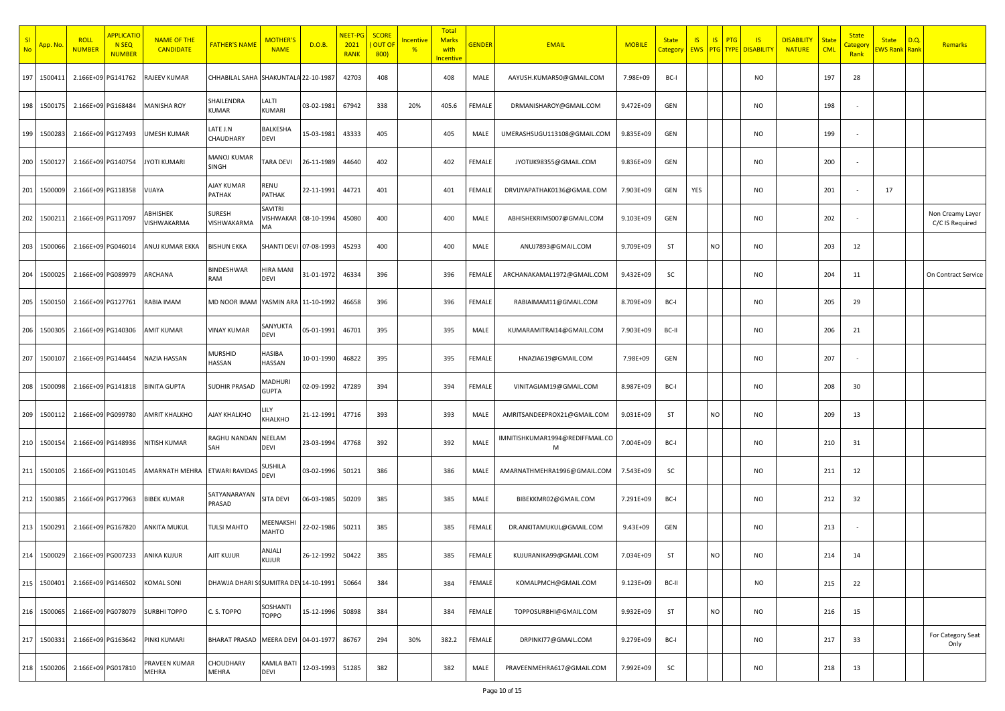| SI<br><b>No</b> | <mark>App. No</mark> | <b>ROLL</b><br><b>NUMBER</b> | <b>APPLICATIC</b><br>N <sub>SEQ</sub><br><b>NUMBER</b> | <b>NAME OF THE</b><br><b>CANDIDATE</b> | <b>FATHER'S NAME</b>                  | <b>MOTHER'</b><br><b>NAME</b> | D.O.B.     | <mark>NEET-PG</mark><br>2021<br><b>RANK</b> | <b>SCORE</b><br><b>OUT OF</b><br>800) | <u>Incentive</u><br>$\frac{9}{6}$ | Total<br><b>Marks</b><br>with<br>ncentive | <b>GENDER</b> | <b>EMAIL</b>                         | <b>MOBILE</b> | <b>State</b><br>Category | IS  | S <br>PTG | IS<br><b>EWS PTG TYPE DISABILITY</b> | <b>DISABILITY</b><br><b>NATURE</b> | State<br><b>CML</b> | <b>State</b><br>Categor<br>Rank | <b>State</b><br><b>EWS Rank</b> Rank | D.Q. | <b>Remarks</b>                      |
|-----------------|----------------------|------------------------------|--------------------------------------------------------|----------------------------------------|---------------------------------------|-------------------------------|------------|---------------------------------------------|---------------------------------------|-----------------------------------|-------------------------------------------|---------------|--------------------------------------|---------------|--------------------------|-----|-----------|--------------------------------------|------------------------------------|---------------------|---------------------------------|--------------------------------------|------|-------------------------------------|
| 197             | 150041               | 2.166E+09 PG141762           |                                                        | RAJEEV KUMAR                           | CHHABILAL SAHA SHAKUNTALA 22-10-1987  |                               |            | 42703                                       | 408                                   |                                   | 408                                       | MALE          | AAYUSH.KUMAR50@GMAIL.COM             | 7.98E+09      | BC-I                     |     |           | NO                                   |                                    | 197                 | 28                              |                                      |      |                                     |
| 198             | 150017               | 2.166E+09 PG168484           |                                                        | <b>MANISHA ROY</b>                     | SHAILENDRA<br><b>KUMAR</b>            | LALTI<br>KUMARI               | 03-02-1981 | 67942                                       | 338                                   | 20%                               | 405.6                                     | FEMALE        | DRMANISHAROY@GMAIL.COM               | 9.472E+09     | GEN                      |     |           | <b>NO</b>                            |                                    | 198                 |                                 |                                      |      |                                     |
| 199             | 1500283              | 2.166E+09 PG127493           |                                                        | UMESH KUMAR                            | ATE J.N.<br>CHAUDHARY                 | BALKESHA<br>DEVI              | 15-03-1981 | 43333                                       | 405                                   |                                   | 405                                       | MALE          | UMERASHSUGU113108@GMAIL.COM          | 9.835E+09     | GEN                      |     |           | <b>NO</b>                            |                                    | 199                 |                                 |                                      |      |                                     |
| 200             | 150012               | 2.166E+09 PG140754           |                                                        | <b>JYOTI KUMARI</b>                    | MANOJ KUMAR<br>SINGH                  | TARA DEVI                     | 26-11-1989 | 44640                                       | 402                                   |                                   | 402                                       | FEMALE        | JYOTIJK98355@GMAIL.COM               | 9.836E+09     | GEN                      |     |           | NO                                   |                                    | 200                 |                                 |                                      |      |                                     |
| 201             | 1500009              | 2.166E+09 PG118358           |                                                        | VIJAYA                                 | AJAY KUMAR<br>PATHAK                  | RENU<br>PATHAK                | 22-11-1991 | 44721                                       | 401                                   |                                   | 401                                       | FEMALE        | DRVIJYAPATHAK0136@GMAIL.COM          | 7.903E+09     | GEN                      | YES |           | <b>NO</b>                            |                                    | 201                 |                                 | 17                                   |      |                                     |
| 202             | 150021               | 2.166E+09 PG117097           |                                                        | ABHISHEK<br>VISHWAKARMA                | <b>SURESH</b><br>VISHWAKARMA          | SAVITRI<br>VISHWAKAR<br>MA    | 08-10-1994 | 45080                                       | 400                                   |                                   | 400                                       | MALE          | ABHISHEKRIMS007@GMAIL.COM            | 9.103E+09     | GEN                      |     |           | <b>NO</b>                            |                                    | 202                 |                                 |                                      |      | Non Creamy Layer<br>C/C IS Required |
| 203             | 1500066              |                              | 2.166E+09 PG046014                                     | ANUJ KUMAR EKKA                        | <b>BISHUN EKKA</b>                    | SHANTI DEVI 07-08-1993        |            | 45293                                       | 400                                   |                                   | 400                                       | MALE          | ANUJ7893@GMAIL.COM                   | 9.709E+09     | ST                       |     | <b>NO</b> | NO                                   |                                    | 203                 | 12                              |                                      |      |                                     |
| 204             | 1500025              | 2.166E+09 PG089979           |                                                        | ARCHANA                                | BINDESHWAR<br>RAM                     | HIRA MANI<br>DEVI             | 31-01-1972 | 46334                                       | 396                                   |                                   | 396                                       | FEMALE        | ARCHANAKAMAL1972@GMAIL.COM           | 9.432E+09     | SC                       |     |           | NO                                   |                                    | 204                 | 11                              |                                      |      | On Contract Service                 |
| 205             | 1500150              | 2.166E+09 PG127761           |                                                        | RABIA IMAM                             | MD NOOR IMAM                          | YASMIN ARA 11-10-1992         |            | 46658                                       | 396                                   |                                   | 396                                       | FEMALE        | RABIAIMAM11@GMAIL.COM                | 8.709E+09     | BC-I                     |     |           | <b>NO</b>                            |                                    | 205                 | 29                              |                                      |      |                                     |
| 206             | 150030               |                              | 2.166E+09 PG140306                                     | AMIT KUMAR                             | <b>VINAY KUMAR</b>                    | SANYUKTA<br>DEVI              | 05-01-1991 | 46701                                       | 395                                   |                                   | 395                                       | MALE          | KUMARAMITRAI14@GMAIL.COM             | 7.903E+09     | BC-II                    |     |           | <b>NO</b>                            |                                    | 206                 | 21                              |                                      |      |                                     |
| 207             | 150010               |                              | 2.166E+09 PG144454                                     | NAZIA HASSAN                           | MURSHID<br>HASSAN                     | HASIBA<br>HASSAN              | 10-01-1990 | 46822                                       | 395                                   |                                   | 395                                       | FEMALE        | HNAZIA619@GMAIL.COM                  | 7.98E+09      | GEN                      |     |           | NO                                   |                                    | 207                 |                                 |                                      |      |                                     |
| 208             | 150009               |                              | 2.166E+09 PG141818                                     | <b>BINITA GUPTA</b>                    | <b>SUDHIR PRASAD</b>                  | MADHURI<br>GUPTA              | 02-09-1992 | 47289                                       | 394                                   |                                   | 394                                       | FEMALE        | VINITAGIAM19@GMAIL.COM               | 8.987E+09     | BC-I                     |     |           | NO                                   |                                    | 208                 | 30                              |                                      |      |                                     |
| 209             | 150011               |                              | 2.166E+09 PG099780                                     | AMRIT KHALKHO                          | AJAY KHALKHO                          | .ILY<br>KHALKHO               | 21-12-1991 | 47716                                       | 393                                   |                                   | 393                                       | MALE          | AMRITSANDEEPROX21@GMAIL.COM          | 9.031E+09     | ST                       |     | <b>NO</b> | NO                                   |                                    | 209                 | 13                              |                                      |      |                                     |
| 210             | 150015               |                              | 2.166E+09 PG148936                                     | NITISH KUMAR                           | RAGHU NANDAN<br>SAH                   | NEELAM<br>DEVI                | 23-03-1994 | 47768                                       | 392                                   |                                   | 392                                       | MALE          | IMNITISHKUMAR1994@REDIFFMAIL.CO<br>м | 7.004E+09     | BC-I                     |     |           | NO                                   |                                    | 210                 | 31                              |                                      |      |                                     |
| 211             | 1500105              | 2.166E+09 PG110145           |                                                        | AMARNATH MEHRA                         | ETWARI RAVIDAS                        | SUSHILA<br>DEVI               | 03-02-1996 | 50121                                       | 386                                   |                                   | 386                                       | MALE          | AMARNATHMEHRA1996@GMAIL.COM          | 7.543E+09     | SC                       |     |           | NO                                   |                                    | 211                 | 12                              |                                      |      |                                     |
| 212             | 1500385              | 2.166E+09 PG177963           |                                                        | <b>BIBEK KUMAR</b>                     | SATYANARAYAN<br>PRASAD                | SITA DEVI                     | 06-03-1985 | 50209                                       | 385                                   |                                   | 385                                       | MALE          | BIBEKKMR02@GMAIL.COM                 | 7.291E+09     | BC-I                     |     |           | NO                                   |                                    | 212                 | 32                              |                                      |      |                                     |
| 213             | 1500291              |                              | 2.166E+09 PG167820                                     | ANKITA MUKUL                           | <b>TULSI MAHTO</b>                    | MEENAKSH<br>MAHTO             | 22-02-1986 | 50211                                       | 385                                   |                                   | 385                                       | FEMALE        | DR.ANKITAMUKUL@GMAIL.COM             | $9.43E + 09$  | GEN                      |     |           | NO                                   |                                    | 213                 |                                 |                                      |      |                                     |
| 214             | 1500029              |                              | 2.166E+09 PG007233                                     | ANIKA KUJUR                            | AJIT KUJUR                            | ANJALI<br>UJUR.               | 26-12-1992 | 50422                                       | 385                                   |                                   | 385                                       | FEMALE        | KUJURANIKA99@GMAIL.COM               | 7.034E+09     | ST                       |     | NO        | NO                                   |                                    | 214                 | 14                              |                                      |      |                                     |
| 215             | 1500401              | 2.166E+09 PG146502           |                                                        | <b>KOMAL SONI</b>                      | DHAWJA DHARI SCSUMITRA DEV 14-10-1991 |                               |            | 50664                                       | 384                                   |                                   | 384                                       | FEMALE        | KOMALPMCH@GMAIL.COM                  | 9.123E+09     | BC-II                    |     |           | <b>NO</b>                            |                                    | 215                 | 22                              |                                      |      |                                     |
| 216             | 1500065              |                              | 2.166E+09 PG078079                                     | <b>SURBHI TOPPO</b>                    | C.S. TOPPO                            | SOSHANTI<br>TOPPO             | 15-12-1996 | 50898                                       | 384                                   |                                   | 384                                       | FEMALE        | TOPPOSURBHI@GMAIL.COM                | 9.932E+09     | ST                       |     | <b>NO</b> | <b>NO</b>                            |                                    | 216                 | 15                              |                                      |      |                                     |
| 217             | 150033               |                              | 2.166E+09 PG163642                                     | PINKI KUMARI                           | <b>BHARAT PRASAD</b>                  | MEERA DEVI 04-01-1977         |            | 86767                                       | 294                                   | 30%                               | 382.2                                     | FEMALE        | DRPINKI77@GMAIL.COM                  | 9.279E+09     | BC-I                     |     |           | <b>NO</b>                            |                                    | 217                 | 33                              |                                      |      | For Category Seat<br>Only           |
| 218             | 1500206              | 2.166E+09 PG017810           |                                                        | PRAVEEN KUMAR<br>MEHRA                 | CHOUDHARY<br><b>MEHRA</b>             | <b>KAMLA BAT</b><br>DEVI      | 12-03-1993 | 51285                                       | 382                                   |                                   | 382                                       | MALE          | PRAVEENMEHRA617@GMAIL.COM            | 7.992E+09     | SC                       |     |           | <b>NO</b>                            |                                    | 218                 | 13                              |                                      |      |                                     |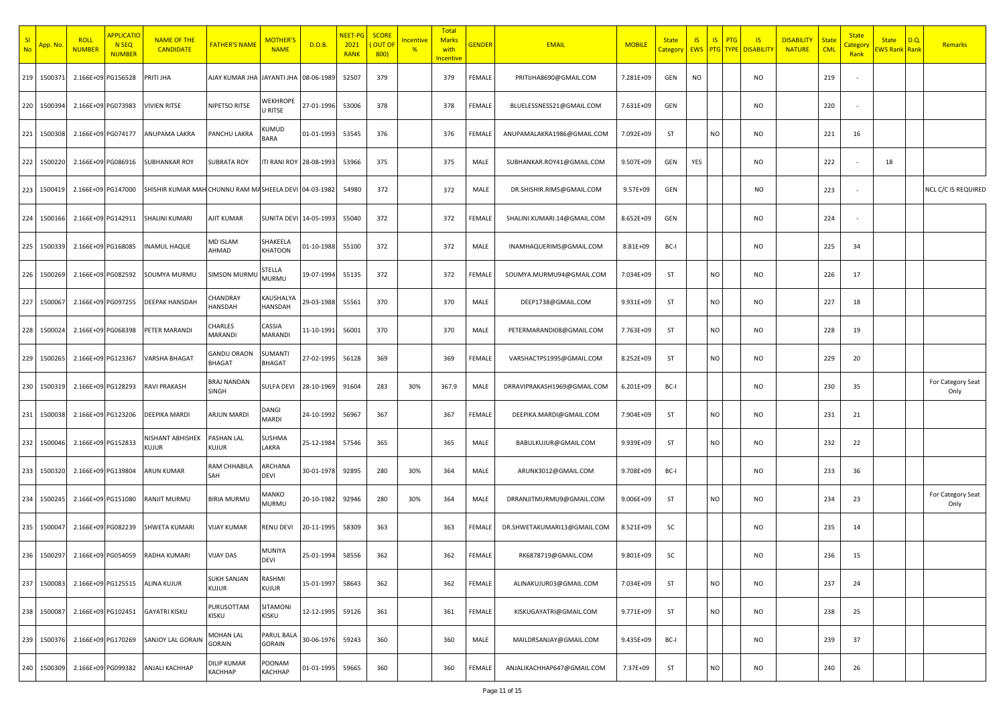| SI<br><b>No</b> | <mark>App. No</mark> | <b>ROLL</b><br><mark>NUMBER</mark> | <b>APPLICATIO</b><br>N <sub>SEQ</sub><br><b>NUMBER</b> | <b>NAME OF THE</b><br><b>CANDIDATE</b>                | <b>FATHER'S NAME</b>               | <b>MOTHER'</b><br><b>NAME</b> | D.O.B.     | NEET-PG<br>2021<br><b>RANK</b> | <b>SCORE</b><br><b>OUT OF</b><br>800) | <u>Incentive</u><br>$\frac{9}{6}$ | Total<br><b>Marks</b><br>with<br>ncentive | <b>GENDER</b> | <b>EMAIL</b>                | <b>MOBILI</b> | <b>State</b><br>Category | <b>IS</b><br>EWS PTG TYPE | IS        | <b>PTG</b><br>$\overline{\mathsf{S}}$<br><b>DISABILITY</b> | <b>DISABILITY</b><br><b>NATURE</b> | <b>State</b><br><b>CML</b> | <b>State</b><br>Categor<br>Rank | <b>State</b><br><b>WS Rank</b> Rank | D.Q | Remarks                    |
|-----------------|----------------------|------------------------------------|--------------------------------------------------------|-------------------------------------------------------|------------------------------------|-------------------------------|------------|--------------------------------|---------------------------------------|-----------------------------------|-------------------------------------------|---------------|-----------------------------|---------------|--------------------------|---------------------------|-----------|------------------------------------------------------------|------------------------------------|----------------------------|---------------------------------|-------------------------------------|-----|----------------------------|
|                 | 219 150037           | 2.166E+09 PG156528                 |                                                        | PRITI JHA                                             | AJAY KUMAR JHA JAYANTI JHA         |                               | 08-06-1989 | 52507                          | 379                                   |                                   | 379                                       | FEMALE        | PRITIJHA8690@GMAIL.COM      | 7.281E+09     | GEN                      | <b>NO</b>                 |           | NO                                                         |                                    | 219                        |                                 |                                     |     |                            |
|                 | 220 1500394          | 2.166E+09 PG073983                 |                                                        | <b>VIVIEN RITSE</b>                                   | NIPETSO RITSE                      | WEKHROPE<br>U RITSE           | 27-01-1996 | 53006                          | 378                                   |                                   | 378                                       | FEMALE        | BLUELESSNESS21@GMAIL.COM    | 7.631E+09     | GEN                      |                           |           | NO                                                         |                                    | 220                        | $\sim$                          |                                     |     |                            |
|                 | 221 1500308          | 2.166E+09 PG074177                 |                                                        | ANUPAMA LAKRA                                         | PANCHU LAKRA                       | KUMUD<br>BARA                 | 01-01-1993 | 53545                          | 376                                   |                                   | 376                                       | FEMALE        | ANUPAMALAKRA1986@GMAIL.COM  | 7.092E+09     | ST                       |                           | <b>NO</b> | <b>NO</b>                                                  |                                    | 221                        | 16                              |                                     |     |                            |
|                 | 222 1500220          | 2.166E+09 PG086916                 |                                                        | SUBHANKAR ROY                                         | <b>SUBRATA ROY</b>                 | TI RANI ROY 28-08-1993        |            | 53966                          | 375                                   |                                   | 375                                       | MALE          | SUBHANKAR.ROY41@GMAIL.COM   | 9.507E+09     | GEN                      | YES                       |           | NO                                                         |                                    | 222                        |                                 | 18                                  |     |                            |
| 223             | 1500419              | 2.166E+09 PG147000                 |                                                        | SHISHIR KUMAR MAH CHUNNU RAM MASHEELA DEVI 04-03-1982 |                                    |                               |            | 54980                          | 372                                   |                                   | 372                                       | MALE          | DR.SHISHIR.RIMS@GMAIL.COM   | $9.57E + 09$  | GEN                      |                           |           | <b>NO</b>                                                  |                                    | 223                        |                                 |                                     |     | <b>NCL C/C IS REQUIRED</b> |
|                 | 224 1500166          | 2.166E+09 PG142911                 |                                                        | SHALINI KUMARI                                        | AJIT KUMAR                         | SUNITA DEVI 14-05-1993        |            | 55040                          | 372                                   |                                   | 372                                       | FEMALE        | SHALINI.KUMARI.14@GMAIL.COM | 8.652E+09     | GEN                      |                           |           | <b>NO</b>                                                  |                                    | 224                        |                                 |                                     |     |                            |
| 225             | 1500339              | 2.166E+09 PG168085                 |                                                        | <b>INAMUL HAQUE</b>                                   | MD ISLAM<br>AHMAD                  | SHAKEELA<br>KHATOON           | 01-10-1988 | 55100                          | 372                                   |                                   | 372                                       | MALE          | INAMHAQUERIMS@GMAIL.COM     | 8.81E+09      | BC-I                     |                           |           | <b>NO</b>                                                  |                                    | 225                        | 34                              |                                     |     |                            |
|                 | 226 1500269          | 2.166E+09 PG082592                 |                                                        | SOUMYA MURMU                                          | <b>SIMSON MURML</b>                | STELLA<br>MURMU               | 19-07-1994 | 55135                          | 372                                   |                                   | 372                                       | FEMALE        | SOUMYA.MURMU94@GMAIL.COM    | 7.034E+09     | ST                       |                           | NO        | NO                                                         |                                    | 226                        | 17                              |                                     |     |                            |
|                 | 227 1500067          | 2.166E+09 PG097255                 |                                                        | DEEPAK HANSDAH                                        | CHANDRAY<br><b>HANSDAH</b>         | <b>KAUSHALYA</b><br>HANSDAH   | 29-03-1988 | 55561                          | 370                                   |                                   | 370                                       | MALE          | DEEP1738@GMAIL.COM          | 9.931E+09     | <b>ST</b>                |                           | <b>NO</b> | <b>NO</b>                                                  |                                    | 227                        | 18                              |                                     |     |                            |
|                 | 228 1500024          | 2.166E+09 PG068398                 |                                                        | PETER MARANDI                                         | CHARLES<br>MARANDI                 | CASSIA<br>MARANDI             | 11-10-1991 | 56001                          | 370                                   |                                   | 370                                       | MALE          | PETERMARANDI08@GMAIL.COM    | 7.763E+09     | <b>ST</b>                |                           | <b>NO</b> | NO                                                         |                                    | 228                        | 19                              |                                     |     |                            |
|                 | 229 1500265          | 2.166E+09 PG123367                 |                                                        | VARSHA BHAGAT                                         | GANDU ORAON<br><b>BHAGAT</b>       | SUMANTI<br><b>BHAGAT</b>      | 27-02-1995 | 56128                          | 369                                   |                                   | 369                                       | FEMALE        | VARSHACTPS1995@GMAIL.COM    | 8.252E+09     | ST                       |                           | NO        | NO                                                         |                                    | 229                        | 20                              |                                     |     |                            |
| 230             | 1500319              | 2.166E+09 PG128293                 |                                                        | RAVI PRAKASH                                          | BRAJ NANDAN<br>SINGH               | <b>SULFA DEVI</b>             | 28-10-1969 | 91604                          | 283                                   | 30%                               | 367.9                                     | MALE          | DRRAVIPRAKASH1969@GMAIL.COM | 6.201E+09     | BC-I                     |                           |           | NO                                                         |                                    | 230                        | 35                              |                                     |     | For Category Seat<br>Only  |
| 231             | 1500038              | 2.166E+09 PG123206                 |                                                        | DEEPIKA MARDI                                         | <b>ARJUN MARDI</b>                 | DANGI<br>MARDI                | 24-10-1992 | 56967                          | 367                                   |                                   | 367                                       | FEMALE        | DEEPIKA.MARDI@GMAIL.COM     | 7.904E+09     | ST                       |                           | <b>NO</b> | NO                                                         |                                    | 231                        | 21                              |                                     |     |                            |
| 232             | 1500046              | 2.166E+09 PG152833                 |                                                        | NISHANT ABHISHEK<br>Kujur                             | PASHAN LAL<br>kujur                | SUSHMA<br>LAKRA               | 25-12-1984 | 57546                          | 365                                   |                                   | 365                                       | MALE          | BABULKUJUR@GMAIL.COM        | 9.939E+09     | ST                       |                           | <b>NO</b> | NO                                                         |                                    | 232                        | 22                              |                                     |     |                            |
|                 | 233 1500320          | 2.166E+09 PG139804                 |                                                        | <b>ARUN KUMAR</b>                                     | RAM CHHABILA<br>SAH                | ARCHANA<br>DEVI               | 30-01-1978 | 92895                          | 280                                   | 30%                               | 364                                       | MALE          | ARUNK3012@GMAIL.COM         | 9.708E+09     | BC-I                     |                           |           | NO                                                         |                                    | 233                        | 36                              |                                     |     |                            |
|                 | 234 1500245          | 2.166E+09 PG151080                 |                                                        | RANJIT MURMU                                          | <b>BIRIA MURMU</b>                 | MANKO<br>MURMU                | 20-10-1982 | 92946                          | 280                                   | 30%                               | 364                                       | MALE          | DRRANJITMURMU9@GMAIL.COM    | 9.006E+09     | ST                       |                           | <b>NO</b> | NO                                                         |                                    | 234                        | 23                              |                                     |     | For Category Seat<br>Only  |
|                 | 235 1500047          | 2.166E+09 PG082239                 |                                                        | SHWETA KUMARI                                         | <b>VIJAY KUMAR</b>                 | RENU DEVI                     | 20-11-1995 | 58309                          | 363                                   |                                   | 363                                       | FEMALE        | DR.SHWETAKUMARI13@GMAIL.COM | 8.521E+09     | SC                       |                           |           | NO                                                         |                                    | 235                        | 14                              |                                     |     |                            |
|                 |                      | 236 1500297 2.166E+09 PG054059     |                                                        | RADHA KUMARI                                          | <b>VIJAY DAS</b>                   | MUNIYA<br><b>DEVI</b>         | 25-01-1994 | 58556                          | 362                                   |                                   | 362                                       | FEMALE        | RK6878719@GMAIL.COM         | 9.801E+09     | SC                       |                           |           | <b>NO</b>                                                  |                                    | 236                        | 15                              |                                     |     |                            |
|                 | 237 1500083          | 2.166E+09 PG125515                 |                                                        | ALINA KUJUR                                           | <b>SUKH SANJAN</b><br><b>KUJUR</b> | RASHMI<br>KUJUR               | 15-01-1997 | 58643                          | 362                                   |                                   | 362                                       | FEMALE        | ALINAKUJUR03@GMAIL.COM      | 7.034E+09     | ST                       |                           | NO        | <b>NO</b>                                                  |                                    | 237                        | 24                              |                                     |     |                            |
| 238             | 1500087              | 2.166E+09 PG102451                 |                                                        | <b>GAYATRI KISKU</b>                                  | PURUSOTTAM<br>KISKU                | SITAMONI<br>KISKU             | 12-12-1995 | 59126                          | 361                                   |                                   | 361                                       | FEMALE        | KISKUGAYATRI@GMAIL.COM      | 9.771E+09     | ST                       |                           | <b>NO</b> | <b>NO</b>                                                  |                                    | 238                        | 25                              |                                     |     |                            |
|                 | 239 1500376          | 2.166E+09 PG170269                 |                                                        | SANJOY LAL GORAIN                                     | MOHAN LAL<br>GORAIN                | PARUL BALA<br><b>GORAIN</b>   | 30-06-1976 | 59243                          | 360                                   |                                   | 360                                       | MALE          | MAILDRSANJAY@GMAIL.COM      | 9.435E+09     | BC-I                     |                           |           | <b>NO</b>                                                  |                                    | 239                        | 37                              |                                     |     |                            |
|                 | 240 1500309          | 2.166E+09 PG099382                 |                                                        | ANJALI KACHHAP                                        | DILIP KUMAR<br>KACHHAP             | POONAM<br>KACHHAP             | 01-01-1995 | 59665                          | 360                                   |                                   | 360                                       | FEMALE        | ANJALIKACHHAP647@GMAIL.COM  | 7.37E+09      | ST                       |                           | <b>NO</b> | <b>NO</b>                                                  |                                    | 240                        | 26                              |                                     |     |                            |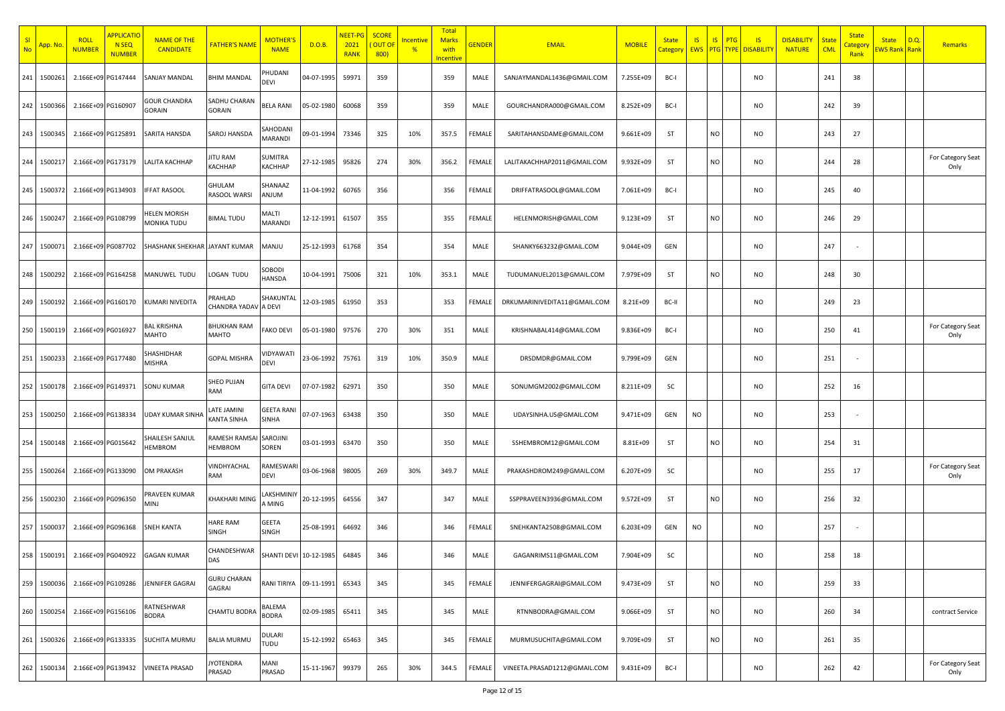| SI<br><b>No</b> | <mark>App. No</mark> | <b>ROLL</b><br><b>NUMBER</b> | <b>APPLICATIO</b><br>N <sub>SEQ</sub><br><b>NUMBER</b> | <b>NAME OF THE</b><br><b>CANDIDATE</b> | <b>FATHER'S NAME</b>            | <b>MOTHER'</b><br><b>NAME</b> | D.O.B.     | <mark>NEET-PG</mark><br>2021<br><b>RANK</b> | <b>SCORE</b><br>OUT OI<br>800) | <mark>Incentive</mark><br>$\frac{9}{6}$ | Total<br><b>Marks</b><br>with<br>ncentive | <b>GENDER</b> | <b>EMAIL</b>                 | <b>MOBILE</b> | <b>State</b><br>Category | <b>IS</b> | S <br>PTG<br>EWS PTG TYPE | IS<br><b>DISABILITY</b> | <b>DISABILITY</b><br><b>NATURE</b> | <b>State</b><br><b>CML</b> | <b>State</b><br><b>Categor</b><br>Rank | <b>State</b><br>EWS Rank Rank | D.Q. | <b>Remarks</b>            |
|-----------------|----------------------|------------------------------|--------------------------------------------------------|----------------------------------------|---------------------------------|-------------------------------|------------|---------------------------------------------|--------------------------------|-----------------------------------------|-------------------------------------------|---------------|------------------------------|---------------|--------------------------|-----------|---------------------------|-------------------------|------------------------------------|----------------------------|----------------------------------------|-------------------------------|------|---------------------------|
| 241             | 150026               |                              | 2.166E+09 PG147444                                     | SANJAY MANDAL                          | <b>BHIM MANDAL</b>              | <b>HUDANI</b><br>DEVI         | 04-07-1995 | 59971                                       | 359                            |                                         | 359                                       | MALE          | SANJAYMANDAL1436@GMAIL.COM   | 7.255E+09     | BC-I                     |           |                           | NO                      |                                    | 241                        | 38                                     |                               |      |                           |
| 242             | 1500366              |                              | 2.166E+09 PG160907                                     | <b>GOUR CHANDRA</b><br>GORAIN          | SADHU CHARAN<br><b>GORAIN</b>   | <b>BELA RANI</b>              | 05-02-1980 | 60068                                       | 359                            |                                         | 359                                       | MALE          | GOURCHANDRA000@GMAIL.COM     | 8.252E+09     | BC-I                     |           |                           | <b>NO</b>               |                                    | 242                        | 39                                     |                               |      |                           |
| 243             | 1500345              |                              | 2.166E+09 PG125891                                     | SARITA HANSDA                          | SAROJ HANSDA                    | SAHODANI<br>MARANDI           | 09-01-1994 | 73346                                       | 325                            | 10%                                     | 357.5                                     | FEMALE        | SARITAHANSDAME@GMAIL.COM     | 9.661E+09     | ST                       |           | <b>NO</b>                 | <b>NO</b>               |                                    | 243                        | 27                                     |                               |      |                           |
| 244             | 150021               |                              | 2.166E+09 PG173179                                     | LALITA KACHHAP                         | ITU RAM<br>КАСННАР              | SUMITRA<br><b>KACHHAP</b>     | 27-12-1985 | 95826                                       | 274                            | 30%                                     | 356.2                                     | FEMALE        | LALITAKACHHAP2011@GMAIL.COM  | 9.932E+09     | ST                       |           | <b>NO</b>                 | NO                      |                                    | 244                        | 28                                     |                               |      | For Category Seat<br>Only |
| 245             | 1500372              |                              | 2.166E+09 PG134903                                     | <b>IFFAT RASOOL</b>                    | GHULAM<br>RASOOL WARSI          | SHANAAZ<br>MULIA              | 11-04-1992 | 60765                                       | 356                            |                                         | 356                                       | FEMALE        | DRIFFATRASOOL@GMAIL.COM      | 7.061E+09     | BC-I                     |           |                           | <b>NO</b>               |                                    | 245                        | 40                                     |                               |      |                           |
| 246             | 1500247              |                              | 2.166E+09 PG108799                                     | HELEN MORISH<br>MONIKA TUDU            | <b>BIMAL TUDU</b>               | MALTI<br>MARANDI              | 12-12-1991 | 61507                                       | 355                            |                                         | 355                                       | FEMALE        | HELENMORISH@GMAIL.COM        | 9.123E+09     | ST                       |           | <b>NO</b>                 | <b>NO</b>               |                                    | 246                        | 29                                     |                               |      |                           |
| 247             | 150007               |                              | 2.166E+09 PG087702                                     | SHASHANK SHEKHAR JAYANT KUMAR          |                                 | MANJU                         | 25-12-1993 | 61768                                       | 354                            |                                         | 354                                       | MALE          | SHANKY663232@GMAIL.COM       | 9.044E+09     | GEN                      |           |                           | NO                      |                                    | 247                        |                                        |                               |      |                           |
| 248             | 1500292              |                              | 2.166E+09 PG164258                                     | MANUWEL TUDU                           | LOGAN TUDU                      | SOBODI<br><b>HANSDA</b>       | 10-04-1991 | 75006                                       | 321                            | 10%                                     | 353.1                                     | MALE          | TUDUMANUEL2013@GMAIL.COM     | 7.979E+09     | ST                       |           | <b>NO</b>                 | NO                      |                                    | 248                        | 30                                     |                               |      |                           |
| 249             | 1500192              |                              | 2.166E+09 PG160170                                     | KUMARI NIVEDITA                        | <b>PRAHLAD</b><br>CHANDRA YADAV | SHAKUNTAI<br>A DEVI           | 12-03-1985 | 61950                                       | 353                            |                                         | 353                                       | FEMALE        | DRKUMARINIVEDITA11@GMAIL.COM | 8.21E+09      | BC-II                    |           |                           | <b>NO</b>               |                                    | 249                        | 23                                     |                               |      |                           |
| 250             | 150011               |                              | 2.166E+09 PG016927                                     | <b>BAL KRISHNA</b><br>MAHTO            | BHUKHAN RAM<br>MAHTO            | <b>FAKO DEVI</b>              | 05-01-1980 | 97576                                       | 270                            | 30%                                     | 351                                       | MALE          | KRISHNABAL414@GMAIL.COM      | 9.836E+09     | BC-I                     |           |                           | <b>NO</b>               |                                    | 250                        | 41                                     |                               |      | For Category Seat<br>Only |
| 251             | 150023               |                              | 2.166E+09 PG177480                                     | SHASHIDHAR<br>MISHRA                   | <b>GOPAL MISHRA</b>             | VIDYAWATI<br>DEVI             | 23-06-1992 | 75761                                       | 319                            | 10%                                     | 350.9                                     | MALE          | DRSDMDR@GMAIL.COM            | 9.799E+09     | GEN                      |           |                           | NO                      |                                    | 251                        |                                        |                               |      |                           |
| 252             | 150017               |                              | 2.166E+09 PG149371                                     | SONU KUMAR                             | SHEO PUJAN<br>RAM               | <b>GITA DEVI</b>              | 07-07-1982 | 62971                                       | 350                            |                                         | 350                                       | MALE          | SONUMGM2002@GMAIL.COM        | 8.211E+09     | SC                       |           |                           | <b>NO</b>               |                                    | 252                        | 16                                     |                               |      |                           |
| 253             | 150025               |                              | 2.166E+09 PG138334                                     | UDAY KUMAR SINHA                       | ATE JAMINI.<br>KANTA SINHA      | <b>GEETA RANI</b><br>SINHA    | 07-07-1963 | 63438                                       | 350                            |                                         | 350                                       | MALE          | UDAYSINHA.US@GMAIL.COM       | 9.471E+09     | GEN                      | <b>NO</b> |                           | <b>NO</b>               |                                    | 253                        |                                        |                               |      |                           |
| 254             | 150014               |                              | 2.166E+09 PG015642                                     | SHAILESH SANJUL<br><b>HEMBROM</b>      | RAMESH RAMSAI<br>HEMBROM        | SAROJINI<br>SOREN             | 03-01-1993 | 63470                                       | 350                            |                                         | 350                                       | MALE          | SSHEMBROM12@GMAIL.COM        | 8.81E+09      | ST                       |           | <b>NO</b>                 | NO                      |                                    | 254                        | 31                                     |                               |      |                           |
| 255             | 150026               |                              | 2.166E+09 PG133090                                     | OM PRAKASH                             | <b>JINDHYACHAL</b><br>RAM       | RAMESWAR<br>DEVI              | 03-06-1968 | 98005                                       | 269                            | 30%                                     | 349.7                                     | MALE          | PRAKASHDROM249@GMAIL.COM     | 6.207E+09     | SC                       |           |                           | NO                      |                                    | 255                        | 17                                     |                               |      | For Category Seat<br>Only |
| 256             | 1500230              |                              | 2.166E+09 PG096350                                     | PRAVEEN KUMAR<br><b>LNIN</b>           | KHAKHARI MING                   | LAKSHMINI<br>A MING           | 20-12-1995 | 64556                                       | 347                            |                                         | 347                                       | MALE          | SSPPRAVEEN3936@GMAIL.COM     | 9.572E+09     | ST                       |           | <b>NO</b>                 | NO                      |                                    | 256                        | 32                                     |                               |      |                           |
| 257             | 150003               |                              | 2.166E+09 PG096368                                     | SNEH KANTA                             | <b>HARE RAM</b><br>SINGH        | GEETA<br>SINGH                | 25-08-1991 | 64692                                       | 346                            |                                         | 346                                       | FEMALE        | SNEHKANTA2508@GMAIL.COM      | 6.203E+09     | GEN                      | NO        |                           | NO                      |                                    | 257                        |                                        |                               |      |                           |
| 258             | 1500191              |                              | 2.166E+09 PG040922                                     | <b>GAGAN KUMAR</b>                     | CHANDESHWAR                     | SHANTI DEVI 10-12-1985        |            | 64845                                       | 346                            |                                         | 346                                       | MALE          | GAGANRIMS11@GMAIL.COM        | 7.904E+09     | SC                       |           |                           | <b>NO</b>               |                                    | 258                        | 18                                     |                               |      |                           |
| 259             | 1500036              |                              | 2.166E+09 PG109286                                     | JENNIFER GAGRAI                        | <b>GURU CHARAN</b><br>GAGRAI    | <b>RANI TIRIYA</b>            | 09-11-1991 | 65343                                       | 345                            |                                         | 345                                       | FEMALE        | JENNIFERGAGRAI@GMAIL.COM     | 9.473E+09     | ST                       |           | NO                        | <b>NO</b>               |                                    | 259                        | 33                                     |                               |      |                           |
| 260             | 1500254              |                              | 2.166E+09 PG156106                                     | RATNESHWAR<br><b>BODRA</b>             | <b>CHAMTU BODRA</b>             | BALEMA<br><b>BODRA</b>        | 02-09-1985 | 65411                                       | 345                            |                                         | 345                                       | MALE          | RTNNBODRA@GMAIL.COM          | 9.066E+09     | ST                       |           | <b>NO</b>                 | <b>NO</b>               |                                    | 260                        | 34                                     |                               |      | contract Service          |
| 261             | 1500326              |                              | 2.166E+09 PG133335                                     | SUCHITA MURMU                          | <b>BALIA MURMU</b>              | DULARI<br>TUDU                | 15-12-1992 | 65463                                       | 345                            |                                         | 345                                       | FEMALE        | MURMUSUCHITA@GMAIL.COM       | 9.709E+09     | ST                       |           | <b>NO</b>                 | <b>NO</b>               |                                    | 261                        | 35                                     |                               |      |                           |
| 262             | 1500134              |                              | 2.166E+09 PG139432                                     | <b>VINEETA PRASAD</b>                  | YOTENDRA<br>PRASAD              | MANI<br>PRASAD                | 15-11-1967 | 99379                                       | 265                            | 30%                                     | 344.5                                     | FEMALE        | VINEETA.PRASAD1212@GMAIL.COM | 9.431E+09     | BC-I                     |           |                           | <b>NO</b>               |                                    | 262                        | 42                                     |                               |      | For Category Seat<br>Only |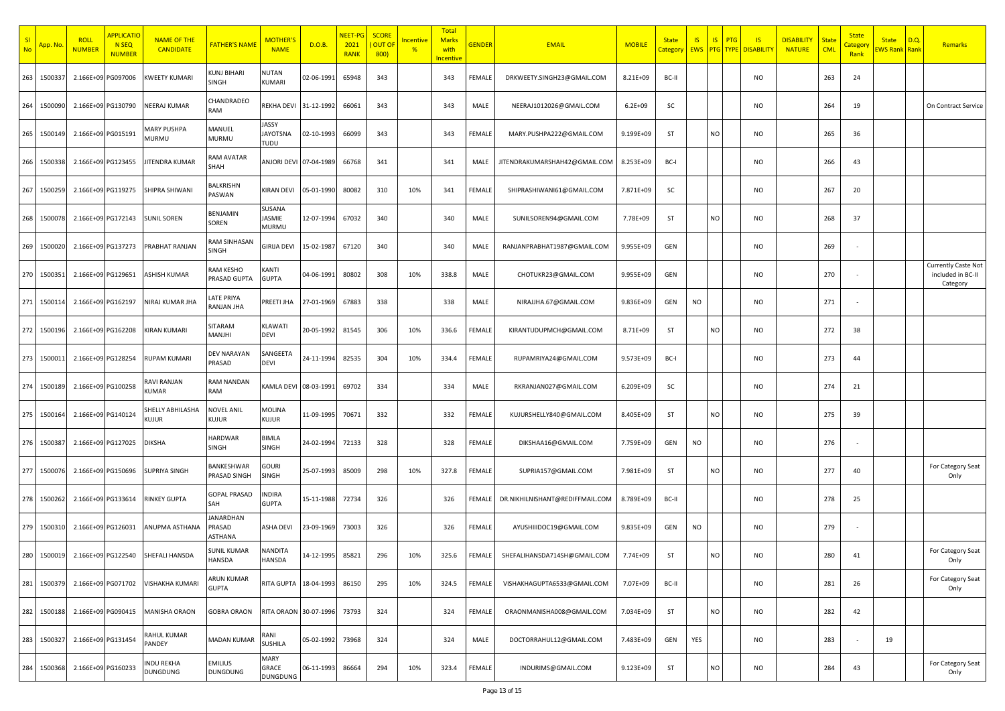| -SI<br><b>No</b> | App. No | <b>ROLL</b><br><b>NUMBER</b> | <b>APPLICATIC</b><br>N <sub>SEQ</sub><br><b>NUMBER</b> | <b>NAME OF THE</b><br><b>CANDIDATE</b> | <b>FATHER'S NAME</b>                 | <b>MOTHER'</b><br><b>NAME</b>           | D.O.B.     | NEET-PG<br>2021<br><b>RANK</b> | <b>SCORE</b><br>OUT OI<br>800) | Incentive<br>$\frac{9}{6}$ | Total<br><b>Marks</b><br>with<br>ncentive | <b>GENDER</b> | <b>EMAIL</b>                    | <b>MOBILE</b> | <b>State</b><br>Category | <b>IS</b> | S <br>PTG | IS<br><b>EWS PTG TYPE DISABILITY</b> | <b>DISABILITY</b><br><b>NATURE</b> | <b>State</b><br><b>CML</b> | <b>State</b><br><mark>Categor</mark><br>Rank | <b>State</b><br>EWS Rank Rank | D.Q. | <b>Remarks</b>                                              |
|------------------|---------|------------------------------|--------------------------------------------------------|----------------------------------------|--------------------------------------|-----------------------------------------|------------|--------------------------------|--------------------------------|----------------------------|-------------------------------------------|---------------|---------------------------------|---------------|--------------------------|-----------|-----------|--------------------------------------|------------------------------------|----------------------------|----------------------------------------------|-------------------------------|------|-------------------------------------------------------------|
| 263              | 150033  |                              | 2.166E+09 PG097006                                     | <b>KWEETY KUMARI</b>                   | KUNJ BIHARI<br>SINGH                 | NUTAN<br>KUMARI                         | 02-06-1991 | 65948                          | 343                            |                            | 343                                       | FEMALE        | DRKWEETY.SINGH23@GMAIL.COM      | 8.21E+09      | BC-II                    |           |           | NO                                   |                                    | 263                        | 24                                           |                               |      |                                                             |
| 264              | 1500090 |                              | 2.166E+09 PG130790                                     | NEERAJ KUMAR                           | CHANDRADEO<br>RAM                    | REKHA DEVI                              | 31-12-1992 | 66061                          | 343                            |                            | 343                                       | MALE          | NEERAJ1012026@GMAIL.COM         | $6.2E + 09$   | SC                       |           |           | <b>NO</b>                            |                                    | 264                        | 19                                           |                               |      | On Contract Service                                         |
| 265              | 1500149 | 2.166E+09 PG015191           |                                                        | MARY PUSHPA<br>MURMU                   | MANUEL<br>MURMU                      | <b>JASSY</b><br><b>JAYOTSNA</b><br>TUDU | 02-10-1993 | 66099                          | 343                            |                            | 343                                       | FEMALE        | MARY.PUSHPA222@GMAIL.COM        | 9.199E+09     | ST                       |           | <b>NO</b> | <b>NO</b>                            |                                    | 265                        | 36                                           |                               |      |                                                             |
| 266              | 150033  |                              | 2.166E+09 PG123455                                     | <b>JITENDRA KUMAR</b>                  | <b>AM AVATAR</b><br>SHAH             | ANJORI DEVI 07-04-1989                  |            | 66768                          | 341                            |                            | 341                                       | MALE          | JITENDRAKUMARSHAH42@GMAIL.COM   | 8.253E+09     | BC-I                     |           |           | NO                                   |                                    | 266                        | 43                                           |                               |      |                                                             |
| 267              | 1500259 |                              | 2.166E+09 PG119275                                     | SHIPRA SHIWANI                         | <b>BALKRISHN</b><br>PASWAN           | KIRAN DEVI                              | 05-01-1990 | 80082                          | 310                            | 10%                        | 341                                       | FEMALE        | SHIPRASHIWANI61@GMAIL.COM       | 7.871E+09     | SC                       |           |           | <b>NO</b>                            |                                    | 267                        | 20                                           |                               |      |                                                             |
| 268              | 150007  |                              | 2.166E+09 PG172143                                     | <b>SUNIL SOREN</b>                     | BENJAMIN<br>SOREN                    | SUSANA<br><b>JASMIE</b><br>MURMU        | 12-07-1994 | 67032                          | 340                            |                            | 340                                       | MALE          | SUNILSOREN94@GMAIL.COM          | 7.78E+09      | ST                       |           | <b>NO</b> | <b>NO</b>                            |                                    | 268                        | 37                                           |                               |      |                                                             |
| 269              | 1500020 |                              | 2.166E+09 PG137273                                     | PRABHAT RANJAN                         | RAM SINHASAN<br>SINGH                | GIRIJA DEVI                             | 15-02-1987 | 67120                          | 340                            |                            | 340                                       | MALE          | RANJANPRABHAT1987@GMAIL.COM     | 9.955E+09     | GEN                      |           |           | NO                                   |                                    | 269                        |                                              |                               |      |                                                             |
| 270              | 150035  |                              | 2.166E+09 PG129651                                     | <b>ASHISH KUMAR</b>                    | RAM KESHO<br>PRASAD GUPTA            | KANTI<br><b>GUPTA</b>                   | 04-06-1991 | 80802                          | 308                            | 10%                        | 338.8                                     | MALE          | CHOTUKR23@GMAIL.COM             | 9.955E+09     | GEN                      |           |           | NO                                   |                                    | 270                        |                                              |                               |      | <b>Currently Caste Not</b><br>included in BC-II<br>Category |
| 271              | 150011  |                              | 2.166E+09 PG162197                                     | NIRAJ KUMAR JHA                        | ATE PRIYA<br>RANJAN JHA              | PREETI JHA                              | 27-01-1969 | 67883                          | 338                            |                            | 338                                       | MALE          | NIRAJJHA.67@GMAIL.COM           | 9.836E+09     | GEN                      | <b>NO</b> |           | <b>NO</b>                            |                                    | 271                        |                                              |                               |      |                                                             |
| 272              | 1500196 |                              | 2.166E+09 PG162208                                     | <b>KIRAN KUMARI</b>                    | SITARAM<br>MANJHI                    | KLAWATI<br>DEVI                         | 20-05-1992 | 81545                          | 306                            | 10%                        | 336.6                                     | FEMALE        | KIRANTUDUPMCH@GMAIL.COM         | 8.71E+09      | ST                       |           | <b>NO</b> | <b>NO</b>                            |                                    | 272                        | 38                                           |                               |      |                                                             |
| 273              | 150001  |                              | 2.166E+09 PG128254                                     | RUPAM KUMARI                           | <b>DEV NARAYAN</b><br>PRASAD         | SANGEETA<br>DEVI                        | 24-11-1994 | 82535                          | 304                            | 10%                        | 334.4                                     | FEMALE        | RUPAMRIYA24@GMAIL.COM           | 9.573E+09     | BC-I                     |           |           | NO                                   |                                    | 273                        | 44                                           |                               |      |                                                             |
| 274              | 1500189 |                              | 2.166E+09 PG100258                                     | RAVI RANJAN<br><b>KUMAR</b>            | RAM NANDAN<br>RAM                    | KAMLA DEVI                              | 08-03-1991 | 69702                          | 334                            |                            | 334                                       | MALE          | RKRANJAN027@GMAIL.COM           | 6.209E+09     | SC                       |           |           | <b>NO</b>                            |                                    | 274                        | 21                                           |                               |      |                                                             |
| 275              | 150016  |                              | 2.166E+09 PG140124                                     | SHELLY ABHILASHA<br>KUJUR              | NOVEL ANIL<br>Kujur                  | <b>MOLINA</b><br>KUJUR                  | 11-09-1995 | 70671                          | 332                            |                            | 332                                       | FEMALE        | KUJURSHELLY840@GMAIL.COM        | 8.405E+09     | ST                       |           | <b>NO</b> | NO                                   |                                    | 275                        | 39                                           |                               |      |                                                             |
| 276              | 150038  |                              | 2.166E+09 PG127025                                     | DIKSHA                                 | <b>HARDWAR</b><br>SINGH              | <b>BIMLA</b><br>SINGH                   | 24-02-1994 | 72133                          | 328                            |                            | 328                                       | FEMALE        | DIKSHAA16@GMAIL.COM             | 7.759E+09     | GEN                      | <b>NO</b> |           | NO                                   |                                    | 276                        |                                              |                               |      |                                                             |
| 277              | 150007  |                              | 2.166E+09 PG150696                                     | SUPRIYA SINGH                          | BANKESHWAR<br>PRASAD SINGH           | gouri<br>SINGH                          | 25-07-1993 | 85009                          | 298                            | 10%                        | 327.8                                     | FEMALE        | SUPRIA157@GMAIL.COM             | 7.981E+09     | ST                       |           | <b>NO</b> | NO                                   |                                    | 277                        | 40                                           |                               |      | For Category Seat<br>Only                                   |
| 278              | 1500262 |                              | 2.166E+09 PG133614                                     | RINKEY GUPTA                           | <b>GOPAL PRASAD</b><br>SAH           | <b>INDIRA</b><br><b>GUPTA</b>           | 15-11-1988 | 72734                          | 326                            |                            | 326                                       | FEMALE        | DR.NIKHILNISHANT@REDIFFMAIL.COM | 8.789E+09     | BC-II                    |           |           | NO                                   |                                    | 278                        | 25                                           |                               |      |                                                             |
| 279              | 1500310 |                              | 2.166E+09 PG126031                                     | ANUPMA ASTHANA                         | <b>ANARDHAN</b><br>PRASAD<br>ASTHANA | ASHA DEVI                               | 23-09-1969 | 73003                          | 326                            |                            | 326                                       | FEMALE        | AYUSHIIIDOC19@GMAIL.COM         | 9.835E+09     | GEN                      | NO        |           | NO                                   |                                    | 279                        |                                              |                               |      |                                                             |
| 280              | 1500019 |                              | 2.166E+09 PG122540                                     | SHEFALI HANSDA                         | SUNIL KUMAR<br>ANSDA                 | <b>NANDITA</b><br>HANSDA                | 14-12-1995 | 85821                          | 296                            | 10%                        | 325.6                                     | FEMALE        | SHEFALIHANSDA714SH@GMAIL.COM    | 7.74E+09      | ST                       |           | NO        | NO                                   |                                    | 280                        | 41                                           |                               |      | For Category Seat<br>Only                                   |
| 281              | 1500379 |                              | 2.166E+09 PG071702                                     | <b>VISHAKHA KUMARI</b>                 | ARUN KUMAR<br><b>GUPTA</b>           | <b>RITA GUPTA</b>                       | 18-04-1993 | 86150                          | 295                            | 10%                        | 324.5                                     | FEMALE        | VISHAKHAGUPTA6533@GMAIL.COM     | 7.07E+09      | BC-II                    |           |           | <b>NO</b>                            |                                    | 281                        | 26                                           |                               |      | For Category Seat<br>Only                                   |
| 282              | 1500188 |                              | 2.166E+09 PG090415                                     | <b>MANISHA ORAON</b>                   | <b>GOBRA ORAON</b>                   | RITA ORAON 30-07-1996                   |            | 73793                          | 324                            |                            | 324                                       | FEMALE        | ORAONMANISHA008@GMAIL.COM       | 7.034E+09     | ST                       |           | <b>NO</b> | <b>NO</b>                            |                                    | 282                        | 42                                           |                               |      |                                                             |
| 283              | 1500327 |                              | 2.166E+09 PG131454                                     | RAHUL KUMAR<br>PANDEY                  | <b>MADAN KUMAR</b>                   | RANI<br>SUSHILA                         | 05-02-1992 | 73968                          | 324                            |                            | 324                                       | MALE          | DOCTORRAHUL12@GMAIL.COM         | 7.483E+09     | GEN                      | YES       |           | <b>NO</b>                            |                                    | 283                        | $\sim$                                       | 19                            |      |                                                             |
| 284              | 1500368 | 2.166E+09 PG160233           |                                                        | INDU REKHA<br>DUNGDUNG                 | EMILIUS<br><b>DUNGDUNG</b>           | MARY<br>GRACE<br>DUNGDUNG               | 06-11-1993 | 86664                          | 294                            | 10%                        | 323.4                                     | FEMALE        | INDURIMS@GMAIL.COM              | 9.123E+09     | ST                       |           | NO        | <b>NO</b>                            |                                    | 284                        | 43                                           |                               |      | For Category Seat<br>Only                                   |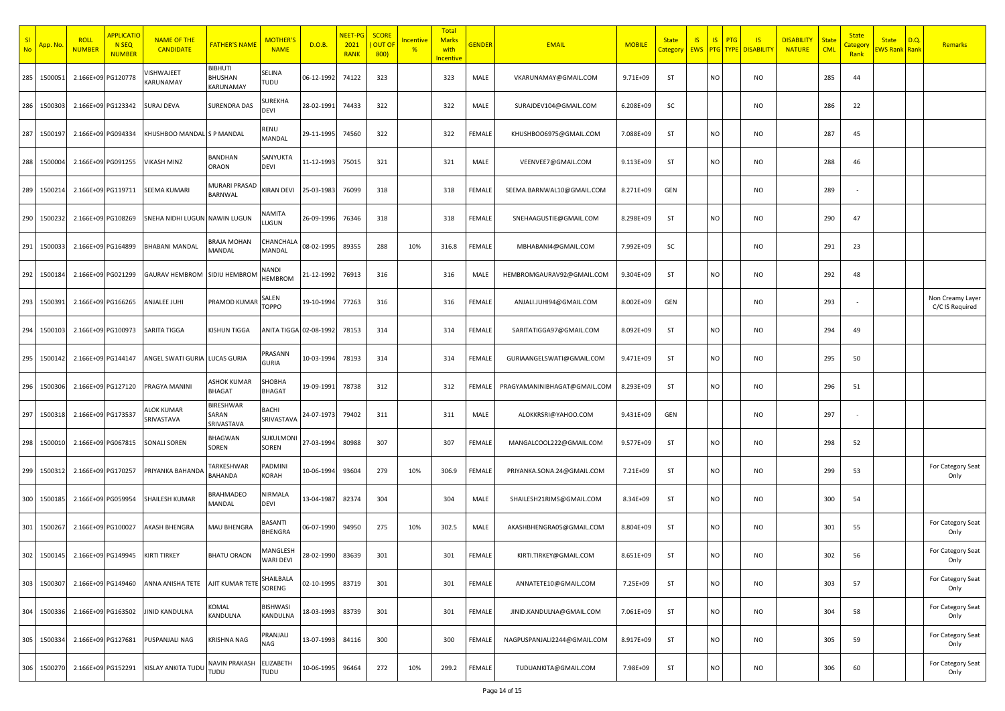| SI<br><b>No</b> | <mark>App. No</mark> | <b>ROLL</b><br><b>NUMBER</b> | <b>APPLICATIC</b><br>N <sub>SEQ</sub><br><b>NUMBER</b> | <b>NAME OF THE</b><br><b>CANDIDATE</b> | <b>FATHER'S NAME</b>              | MOTHER'<br><b>NAME</b>     | D.O.B.     | <b>NEET-PG</b><br>2021<br><b>RANK</b> | <b>SCORE</b><br><b>OUT OF</b><br>800) | ncentive<br>$\frac{9}{6}$ | <b>Total</b><br><b>Marks</b><br>with<br>ncentive | <b>GENDER</b> | <b>EMAIL</b>                 | <b>MOBILE</b> | <b>State</b><br><b>Category</b> | <b>IS</b><br><b>EWS PTG TYPE</b> | IS        | <b>PTG</b><br>$\overline{\mathsf{S}}$<br><b>DISABILITY</b> | <b>DISABILITY</b><br><b>NATURE</b> | <b>State</b><br><b>CML</b> | <b>State</b><br>Category<br>Rank | <b>State</b><br><b>WS Rank</b> Rank | D.Q. | <b>Remarks</b>                      |
|-----------------|----------------------|------------------------------|--------------------------------------------------------|----------------------------------------|-----------------------------------|----------------------------|------------|---------------------------------------|---------------------------------------|---------------------------|--------------------------------------------------|---------------|------------------------------|---------------|---------------------------------|----------------------------------|-----------|------------------------------------------------------------|------------------------------------|----------------------------|----------------------------------|-------------------------------------|------|-------------------------------------|
| 285             | 150005               | 2.166E+09 PG120778           |                                                        | <b>/ISHWAJEET</b><br>KARUNAMAY         | 3 IBHUTI<br>BHUSHAN<br>KARUNAMAY  | SELINA<br>TUDU             | 06-12-1992 | 74122                                 | 323                                   |                           | 323                                              | MALE          | VKARUNAMAY@GMAIL.COM         | 9.71E+09      | ST                              |                                  | <b>NO</b> | NO                                                         |                                    | 285                        | 44                               |                                     |      |                                     |
| 286             | 150030               | 2.166E+09 PG123342           |                                                        | SURAJ DEVA                             | <b>SURENDRA DAS</b>               | <b>UREKHA</b><br>DEVI      | 28-02-1991 | 74433                                 | 322                                   |                           | 322                                              | MALE          | SURAJDEV104@GMAIL.COM        | 6.208E+09     | SC                              |                                  |           | <b>NO</b>                                                  |                                    | 286                        | 22                               |                                     |      |                                     |
| 287             | 150019               | 2.166E+09 PG094334           |                                                        | KHUSHBOO MANDAL S P MANDAL             |                                   | RENU<br>MANDAL             | 29-11-1995 | 74560                                 | 322                                   |                           | 322                                              | FEMALE        | KHUSHBOO6975@GMAIL.COM       | 7.088E+09     | ST                              |                                  | <b>NO</b> | <b>NO</b>                                                  |                                    | 287                        | 45                               |                                     |      |                                     |
| 288             | 150000               |                              | 2.166E+09 PG091255                                     | VIKASH MINZ                            | BANDHAN<br>ORAON                  | SANYUKTA<br>DEVI           | 11-12-1993 | 75015                                 | 321                                   |                           | 321                                              | MALE          | VEENVEE7@GMAIL.COM           | 9.113E+09     | ST                              |                                  | <b>NO</b> | NO                                                         |                                    | 288                        | 46                               |                                     |      |                                     |
| 289             | 150021               | 2.166E+09 PG119711           |                                                        | SEEMA KUMARI                           | MURARI PRASAD<br><b>BARNWAL</b>   | KIRAN DEVI                 | 25-03-1983 | 76099                                 | 318                                   |                           | 318                                              | FEMALE        | SEEMA.BARNWAL10@GMAIL.COM    | 8.271E+09     | GEN                             |                                  |           | <b>NO</b>                                                  |                                    | 289                        |                                  |                                     |      |                                     |
| 290             | 1500232              | 2.166E+09 PG108269           |                                                        | SNEHA NIDHI LUGUN NAWIN LUGUN          |                                   | NAMITA<br>UGUN.            | 26-09-1996 | 76346                                 | 318                                   |                           | 318                                              | FEMALE        | SNEHAAGUSTIE@GMAIL.COM       | 8.298E+09     | ST                              |                                  | <b>NO</b> | <b>NO</b>                                                  |                                    | 290                        | 47                               |                                     |      |                                     |
| 291             | 150003               | 2.166E+09 PG164899           |                                                        | <b>BHABANI MANDAL</b>                  | BRAJA MOHAN<br>MANDAL             | CHANCHAL<br>MANDAL         | 08-02-1995 | 89355                                 | 288                                   | 10%                       | 316.8                                            | FEMALE        | MBHABANI4@GMAIL.COM          | 7.992E+09     | SC                              |                                  |           | <b>NO</b>                                                  |                                    | 291                        | 23                               |                                     |      |                                     |
| 292             | 1500184              |                              | 2.166E+09 PG021299                                     | GAURAV HEMBROM                         | SIDIU HEMBROM                     | NANDI<br><b>HEMBROM</b>    | 21-12-1992 | 76913                                 | 316                                   |                           | 316                                              | MALE          | HEMBROMGAURAV92@GMAIL.COM    | 9.304E+09     | ST                              |                                  | <b>NO</b> | <b>NO</b>                                                  |                                    | 292                        | 48                               |                                     |      |                                     |
| 293             | 1500391              | 2.166E+09 PG166265           |                                                        | ANJALEE JUHI                           | PRAMOD KUMAR                      | SALEN<br><b>TOPPO</b>      | 19-10-1994 | 77263                                 | 316                                   |                           | 316                                              | FEMALE        | ANJALI.JUHI94@GMAIL.COM      | 8.002E+09     | GEN                             |                                  |           | <b>NO</b>                                                  |                                    | 293                        |                                  |                                     |      | Non Creamy Layer<br>C/C IS Required |
| 294             | 150010               | 2.166E+09 PG100973           |                                                        | SARITA TIGGA                           | <b>KISHUN TIGGA</b>               | ANITA TIGGA 02-08-1992     |            | 78153                                 | 314                                   |                           | 314                                              | FEMALE        | SARITATIGGA97@GMAIL.COM      | 8.092E+09     | <b>ST</b>                       |                                  | <b>NO</b> | <b>NO</b>                                                  |                                    | 294                        | 49                               |                                     |      |                                     |
| 295             | 1500142              | 2.166E+09 PG144147           |                                                        | ANGEL SWATI GURIA                      | LUCAS GURIA                       | PRASANN<br>GURIA           | 10-03-1994 | 78193                                 | 314                                   |                           | 314                                              | FEMALE        | GURIAANGELSWATI@GMAIL.COM    | 9.471E+09     | <b>ST</b>                       |                                  | <b>NO</b> | NO                                                         |                                    | 295                        | 50                               |                                     |      |                                     |
| 296             | 150030               | 2.166E+09 PG127120           |                                                        | PRAGYA MANINI                          | ASHOK KUMAR<br><b>BHAGAT</b>      | SHOBHA<br><b>BHAGAT</b>    | 19-09-1991 | 78738                                 | 312                                   |                           | 312                                              | FEMALE        | PRAGYAMANINIBHAGAT@GMAIL.COM | 8.293E+09     | ST                              |                                  | <b>NO</b> | <b>NO</b>                                                  |                                    | 296                        | 51                               |                                     |      |                                     |
| 297             | 150031               | 2.166E+09 PG173537           |                                                        | ALOK KUMAR<br>SRIVASTAVA               | BIRESHWAR<br>SARAN<br>SRIVASTAVA  | <b>BACHI</b><br>SRIVASTAVA | 24-07-1973 | 79402                                 | 311                                   |                           | 311                                              | MALE          | ALOKKRSRI@YAHOO.COM          | 9.431E+09     | GEN                             |                                  |           | <b>NO</b>                                                  |                                    | 297                        |                                  |                                     |      |                                     |
| 298             | 150001               | 2.166E+09 PG067815           |                                                        | SONALI SOREN                           | BHAGWAN<br>SOREN                  | SUKULMON<br>SOREN          | 27-03-1994 | 80988                                 | 307                                   |                           | 307                                              | FEMALE        | MANGALCOOL222@GMAIL.COM      | 9.577E+09     | ST                              |                                  | NO        | NO                                                         |                                    | 298                        | 52                               |                                     |      |                                     |
| 299             | 150031               | 2.166E+09 PG170257           |                                                        | PRIYANKA BAHANDA                       | <b>ARKESHWAR</b><br>BAHANDA       | PADMINI<br>KORAH           | 10-06-1994 | 93604                                 | 279                                   | 10%                       | 306.9                                            | FEMALE        | PRIYANKA.SONA.24@GMAIL.COM   | 7.21E+09      | ST                              |                                  | <b>NO</b> | NO                                                         |                                    | 299                        | 53                               |                                     |      | For Category Seat<br>Only           |
| 300             | 1500185              | 2.166E+09 PG059954           |                                                        | SHAILESH KUMAR                         | <b>BRAHMADEO</b><br><b>MANDAL</b> | NIRMALA<br>DEVI            | 13-04-1987 | 82374                                 | 304                                   |                           | 304                                              | MALE          | SHAILESH21RIMS@GMAIL.COM     | 8.34E+09      | ST                              |                                  | <b>NO</b> | NO                                                         |                                    | 300                        | 54                               |                                     |      |                                     |
| 301             | 1500267              | 2.166E+09 PG100027           |                                                        | AKASH BHENGRA                          | MAU BHENGRA                       | BASANTI<br>BHENGRA         | 06-07-1990 | 94950                                 | 275                                   | 10%                       | 302.5                                            | MALE          | AKASHBHENGRA05@GMAIL.COM     | 8.804E+09     | ST                              |                                  | <b>NO</b> | NO                                                         |                                    | 301                        | 55                               |                                     |      | For Category Seat<br>Only           |
| 302             | 1500145              |                              | 2.166E+09 PG149945                                     | KIRTI TIRKEY                           | <b>BHATU ORAON</b>                | MANGLESH<br>ARI DEVI       | 28-02-1990 | 83639                                 | 301                                   |                           | 301                                              | FEMALE        | KIRTI.TIRKEY@GMAIL.COM       | 8.651E+09     | ST                              |                                  | <b>NO</b> | <b>NO</b>                                                  |                                    | 302                        | 56                               |                                     |      | For Category Seat<br>Only           |
| 303             | 1500307              | 2.166E+09 PG149460           |                                                        | ANNA ANISHA TETE                       | AJIT KUMAR TETI                   | SHAILBALA<br>SORENG        | 02-10-1995 | 83719                                 | 301                                   |                           | 301                                              | FEMALE        | ANNATETE10@GMAIL.COM         | 7.25E+09      | ST                              |                                  | <b>NO</b> | <b>NO</b>                                                  |                                    | 303                        | 57                               |                                     |      | For Category Seat<br>Only           |
| 304             | 1500336              |                              | 2.166E+09 PG163502                                     | <b>JINID KANDULNA</b>                  | KOMAL<br>KANDULNA                 | BISHWASI<br>KANDULNA       | 18-03-1993 | 83739                                 | 301                                   |                           | 301                                              | FEMALE        | JINID.KANDULNA@GMAIL.COM     | 7.061E+09     | ST                              |                                  | <b>NO</b> | <b>NO</b>                                                  |                                    | 304                        | 58                               |                                     |      | For Category Seat<br>Only           |
| 305             | 1500334              | 2.166E+09 PG127681           |                                                        | PUSPANJALI NAG                         | <b>KRISHNA NAG</b>                | PRANJALI<br>NAG            | 13-07-1993 | 84116                                 | 300                                   |                           | 300                                              | FEMALE        | NAGPUSPANJALI2244@GMAIL.COM  | 8.917E+09     | <b>ST</b>                       |                                  | <b>NO</b> | <b>NO</b>                                                  |                                    | 305                        | 59                               |                                     |      | For Category Seat<br>Only           |
| 306             | 1500270              | 2.166E+09 PG152291           |                                                        | KISLAY ANKITA TUDU                     | <b>NAVIN PRAKASH</b><br>TUDU      | ELIZABETH<br>TUDU          | 10-06-1995 | 96464                                 | 272                                   | 10%                       | 299.2                                            | FEMALE        | TUDUANKITA@GMAIL.COM         | 7.98E+09      | ST                              |                                  | <b>NO</b> | <b>NO</b>                                                  |                                    | 306                        | 60                               |                                     |      | For Category Seat<br>Only           |